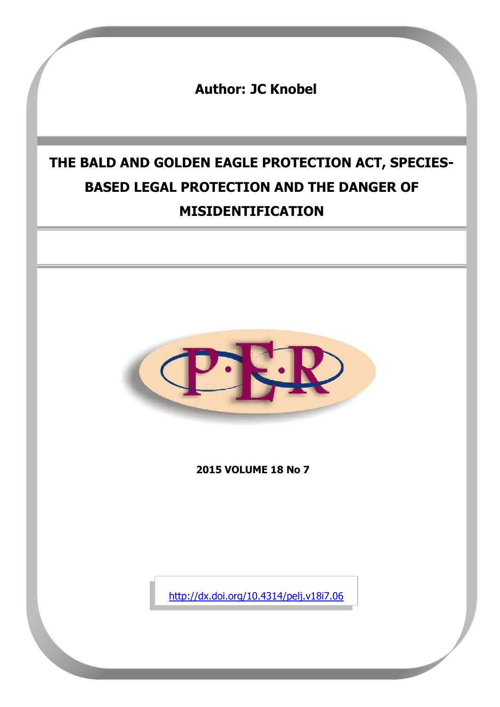**Author: JC Knobel**

# **THE BALD AND GOLDEN EAGLE PROTECTION ACT, SPECIES-BASED LEGAL PROTECTION AND THE DANGER OF MISIDENTIFICATION**



**2015 VOLUME 18 No 7**

<http://dx.doi.org/10.4314/pelj.v18i7.06>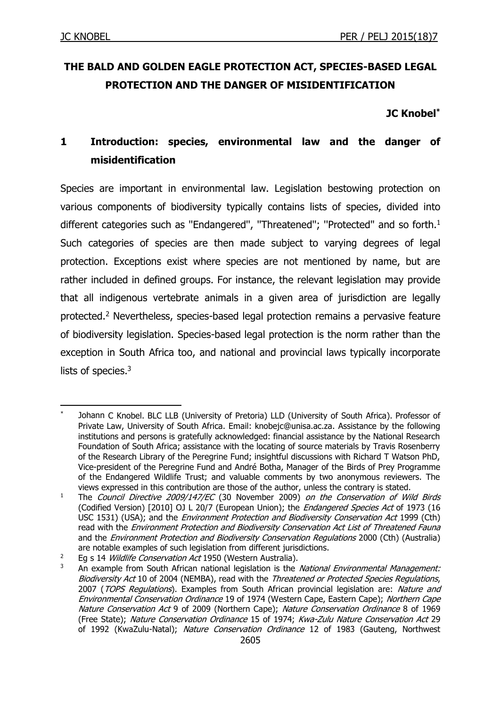## **THE BALD AND GOLDEN EAGLE PROTECTION ACT, SPECIES-BASED LEGAL PROTECTION AND THE DANGER OF MISIDENTIFICATION**

## **JC Knobel\***

## **1 Introduction: species, environmental law and the danger of misidentification**

Species are important in environmental law. Legislation bestowing protection on various components of biodiversity typically contains lists of species, divided into different categories such as "Endangered", "Threatened"; "Protected" and so forth. $<sup>1</sup>$ </sup> Such categories of species are then made subject to varying degrees of legal protection. Exceptions exist where species are not mentioned by name, but are rather included in defined groups. For instance, the relevant legislation may provide that all indigenous vertebrate animals in a given area of jurisdiction are legally protected. <sup>2</sup> Nevertheless, species-based legal protection remains a pervasive feature of biodiversity legislation. Species-based legal protection is the norm rather than the exception in South Africa too, and national and provincial laws typically incorporate lists of species.<sup>3</sup>

**<sup>.</sup>** \* Johann C Knobel. BLC LLB (University of Pretoria) LLD (University of South Africa). Professor of Private Law, University of South Africa. Email: [knobejc@unisa.ac.za.](mailto:knobejc@unisa.ac.za) Assistance by the following institutions and persons is gratefully acknowledged: financial assistance by the National Research Foundation of South Africa; assistance with the locating of source materials by Travis Rosenberry of the Research Library of the Peregrine Fund; insightful discussions with Richard T Watson PhD, Vice-president of the Peregrine Fund and André Botha, Manager of the Birds of Prey Programme of the Endangered Wildlife Trust; and valuable comments by two anonymous reviewers. The views expressed in this contribution are those of the author, unless the contrary is stated.

<sup>&</sup>lt;sup>1</sup> The Council Directive 2009/147/EC (30 November 2009) on the Conservation of Wild Birds (Codified Version) [2010] OJ L 20/7 (European Union); the *Endangered Species Act* of 1973 (16 USC 1531) (USA); and the Environment Protection and Biodiversity Conservation Act 1999 (Cth) read with the Environment Protection and Biodiversity Conservation Act List of Threatened Fauna and the *Environment Protection and Biodiversity Conservation Regulations* 2000 (Cth) (Australia) are notable examples of such legislation from different jurisdictions.

<sup>&</sup>lt;sup>2</sup> Eq s 14 *Wildlife Conservation Act* 1950 (Western Australia).

 $3$  An example from South African national legislation is the *National Environmental Management:* Biodiversity Act 10 of 2004 (NEMBA), read with the Threatened or Protected Species Regulations, 2007 (TOPS Regulations). Examples from South African provincial legislation are: Nature and Environmental Conservation Ordinance 19 of 1974 (Western Cape, Eastern Cape); Northern Cape Nature Conservation Act 9 of 2009 (Northern Cape); Nature Conservation Ordinance 8 of 1969 (Free State); Nature Conservation Ordinance 15 of 1974; Kwa-Zulu Nature Conservation Act 29 of 1992 (KwaZulu-Natal); Nature Conservation Ordinance 12 of 1983 (Gauteng, Northwest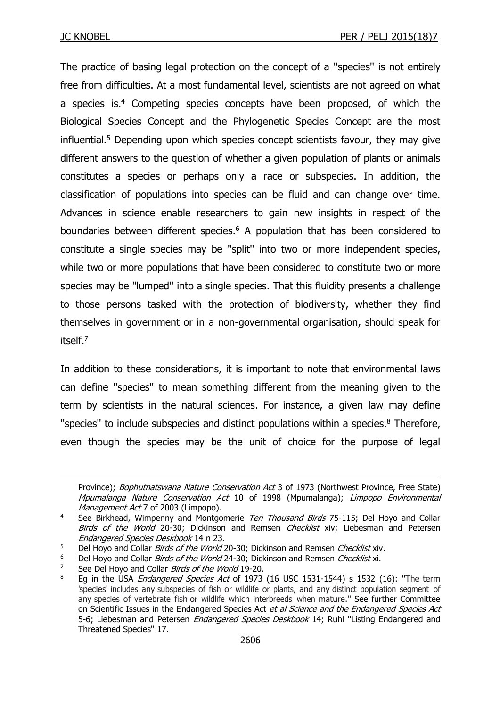The practice of basing legal protection on the concept of a "species" is not entirely free from difficulties. At a most fundamental level, scientists are not agreed on what a species is.<sup>4</sup> Competing species concepts have been proposed, of which the Biological Species Concept and the Phylogenetic Species Concept are the most influential.<sup>5</sup> Depending upon which species concept scientists favour, they may give different answers to the question of whether a given population of plants or animals constitutes a species or perhaps only a race or subspecies. In addition, the classification of populations into species can be fluid and can change over time. Advances in science enable researchers to gain new insights in respect of the boundaries between different species.<sup>6</sup> A population that has been considered to constitute a single species may be "split" into two or more independent species, while two or more populations that have been considered to constitute two or more species may be "lumped" into a single species. That this fluidity presents a challenge to those persons tasked with the protection of biodiversity, whether they find themselves in government or in a non-governmental organisation, should speak for itself.<sup>7</sup>

In addition to these considerations, it is important to note that environmental laws can define "species" to mean something different from the meaning given to the term by scientists in the natural sciences. For instance, a given law may define "species" to include subspecies and distinct populations within a species.<sup>8</sup> Therefore, even though the species may be the unit of choice for the purpose of legal

Province); Bophuthatswana Nature Conservation Act 3 of 1973 (Northwest Province, Free State) Mpumalanga Nature Conservation Act 10 of 1998 (Mpumalanga); Limpopo Environmental Management Act 7 of 2003 (Limpopo).

<sup>&</sup>lt;sup>4</sup> See Birkhead, Wimpenny and Montgomerie Ten Thousand Birds 75-115; Del Hoyo and Collar Birds of the World 20-30; Dickinson and Remsen Checklist xiv; Liebesman and Petersen Endangered Species Deskbook 14 n 23.

<sup>&</sup>lt;sup>5</sup> Del Hoyo and Collar *Birds of the World* 20-30; Dickinson and Remsen *Checklist* xiv.<br><sup>6</sup> Del Hoyo and Collar *Birds of the World* 24-30; Dickinson and Remsen *Checklist* xi

Del Hoyo and Collar Birds of the World 24-30; Dickinson and Remsen Checklist xi.

<sup>&</sup>lt;sup>7</sup> See Del Hoyo and Collar *Birds of the World* 19-20.

<sup>&</sup>lt;sup>8</sup> Eg in the USA *Endangered Species Act* of 1973 (16 USC 1531-1544) s 1532 (16): "The term species' includes any subspecies of fish or wildlife or plants, and any distinct population segment of any species of vertebrate fish or wildlife which interbreeds when mature." See further Committee on Scientific Issues in the Endangered Species Act et al Science and the Endangered Species Act 5-6; Liebesman and Petersen *Endangered Species Deskbook* 14; Ruhl "Listing Endangered and Threatened Species" 17.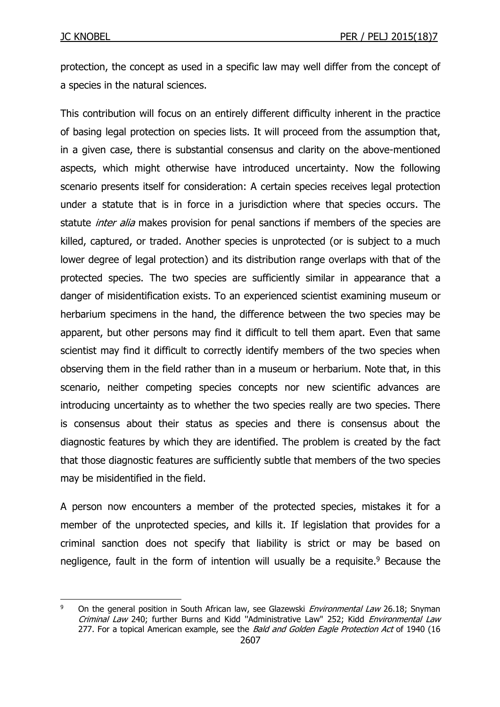protection, the concept as used in a specific law may well differ from the concept of a species in the natural sciences.

This contribution will focus on an entirely different difficulty inherent in the practice of basing legal protection on species lists. It will proceed from the assumption that, in a given case, there is substantial consensus and clarity on the above-mentioned aspects, which might otherwise have introduced uncertainty. Now the following scenario presents itself for consideration: A certain species receives legal protection under a statute that is in force in a jurisdiction where that species occurs. The statute *inter alia* makes provision for penal sanctions if members of the species are killed, captured, or traded. Another species is unprotected (or is subject to a much lower degree of legal protection) and its distribution range overlaps with that of the protected species. The two species are sufficiently similar in appearance that a danger of misidentification exists. To an experienced scientist examining museum or herbarium specimens in the hand, the difference between the two species may be apparent, but other persons may find it difficult to tell them apart. Even that same scientist may find it difficult to correctly identify members of the two species when observing them in the field rather than in a museum or herbarium. Note that, in this scenario, neither competing species concepts nor new scientific advances are introducing uncertainty as to whether the two species really are two species. There is consensus about their status as species and there is consensus about the diagnostic features by which they are identified. The problem is created by the fact that those diagnostic features are sufficiently subtle that members of the two species may be misidentified in the field.

A person now encounters a member of the protected species, mistakes it for a member of the unprotected species, and kills it. If legislation that provides for a criminal sanction does not specify that liability is strict or may be based on negligence, fault in the form of intention will usually be a requisite. <sup>9</sup> Because the

<sup>&</sup>lt;sup>9</sup> On the general position in South African law, see Glazewski *Environmental Law* 26.18; Snyman Criminal Law 240; further Burns and Kidd "Administrative Law" 252; Kidd Environmental Law 277. For a topical American example, see the *Bald and Golden Eagle Protection Act* of 1940 (16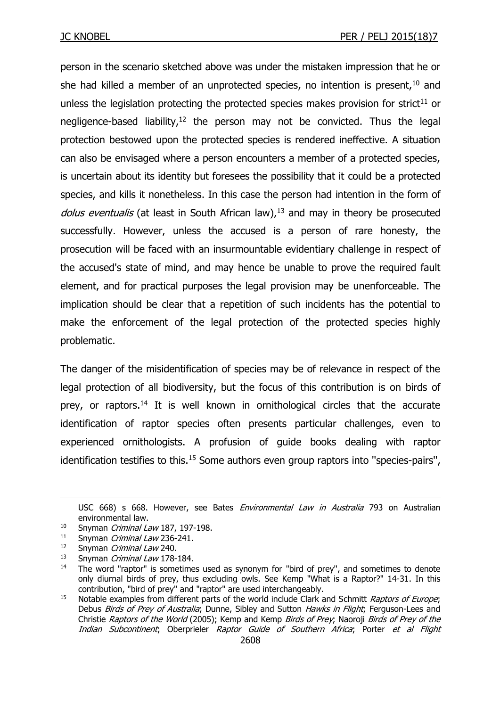person in the scenario sketched above was under the mistaken impression that he or she had killed a member of an unprotected species, no intention is present,<sup>10</sup> and unless the legislation protecting the protected species makes provision for strict<sup>11</sup> or negligence-based liability,<sup>12</sup> the person may not be convicted. Thus the legal protection bestowed upon the protected species is rendered ineffective. A situation can also be envisaged where a person encounters a member of a protected species, is uncertain about its identity but foresees the possibility that it could be a protected species, and kills it nonetheless. In this case the person had intention in the form of dolus eventualis (at least in South African law),<sup>13</sup> and may in theory be prosecuted successfully. However, unless the accused is a person of rare honesty, the prosecution will be faced with an insurmountable evidentiary challenge in respect of the accused's state of mind, and may hence be unable to prove the required fault element, and for practical purposes the legal provision may be unenforceable. The implication should be clear that a repetition of such incidents has the potential to make the enforcement of the legal protection of the protected species highly problematic.

The danger of the misidentification of species may be of relevance in respect of the legal protection of all biodiversity, but the focus of this contribution is on birds of prey, or raptors.<sup>14</sup> It is well known in ornithological circles that the accurate identification of raptor species often presents particular challenges, even to experienced ornithologists. A profusion of guide books dealing with raptor identification testifies to this.<sup>15</sup> Some authors even group raptors into "species-pairs",

 $\overline{\phantom{a}}$ 

USC 668) s 668. However, see Bates Environmental Law in Australia 793 on Australian environmental law.

<sup>&</sup>lt;sup>10</sup> Snyman *Criminal Law* 187, 197-198.

<sup>&</sup>lt;sup>11</sup> Snyman *Criminal Law* 236-241.

<sup>&</sup>lt;sup>12</sup> Snyman *Criminal Law* 240.<br><sup>13</sup> Snyman *Criminal Law* 178-

Snyman Criminal Law 178-184.

 $14$  The word "raptor" is sometimes used as synonym for "bird of prey", and sometimes to denote only diurnal birds of prey, thus excluding owls. See Kemp "What is a Raptor?" 14-31. In this contribution, "bird of prey" and "raptor" are used interchangeably.

 $15$  Notable examples from different parts of the world include Clark and Schmitt Raptors of Europe; Debus Birds of Prey of Australia; Dunne, Sibley and Sutton Hawks in Flight; Ferguson-Lees and Christie Raptors of the World (2005); Kemp and Kemp Birds of Prey; Naoroji Birds of Prey of the Indian Subcontinent; Oberprieler Raptor Guide of Southern Africa; Porter et al Flight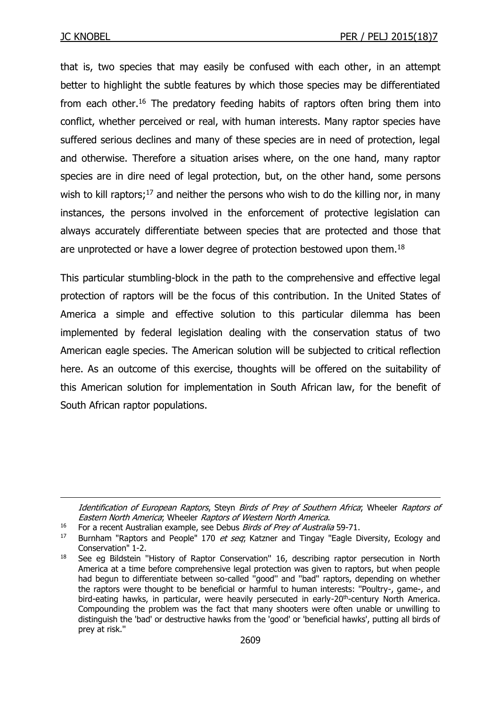1

that is, two species that may easily be confused with each other, in an attempt better to highlight the subtle features by which those species may be differentiated from each other.<sup>16</sup> The predatory feeding habits of raptors often bring them into conflict, whether perceived or real, with human interests. Many raptor species have suffered serious declines and many of these species are in need of protection, legal and otherwise. Therefore a situation arises where, on the one hand, many raptor species are in dire need of legal protection, but, on the other hand, some persons wish to kill raptors;<sup>17</sup> and neither the persons who wish to do the killing nor, in many instances, the persons involved in the enforcement of protective legislation can always accurately differentiate between species that are protected and those that are unprotected or have a lower degree of protection bestowed upon them.<sup>18</sup>

This particular stumbling-block in the path to the comprehensive and effective legal protection of raptors will be the focus of this contribution. In the United States of America a simple and effective solution to this particular dilemma has been implemented by federal legislation dealing with the conservation status of two American eagle species. The American solution will be subjected to critical reflection here. As an outcome of this exercise, thoughts will be offered on the suitability of this American solution for implementation in South African law, for the benefit of South African raptor populations.

Identification of European Raptors, Steyn Birds of Prey of Southern Africa; Wheeler Raptors of Eastern North America; Wheeler Raptors of Western North America.

<sup>&</sup>lt;sup>16</sup> For a recent Australian example, see Debus *Birds of Prey of Australia* 59-71.

<sup>&</sup>lt;sup>17</sup> Burnham "Raptors and People" 170 *et seq*; Katzner and Tingay "Eagle Diversity, Ecology and Conservation" 1-2.

 $18$  See eg Bildstein "History of Raptor Conservation" 16, describing raptor persecution in North America at a time before comprehensive legal protection was given to raptors, but when people had begun to differentiate between so-called "good" and "bad" raptors, depending on whether the raptors were thought to be beneficial or harmful to human interests: "Poultry-, game-, and bird-eating hawks, in particular, were heavily persecuted in early-20<sup>th</sup>-century North America. Compounding the problem was the fact that many shooters were often unable or unwilling to distinguish the 'bad' or destructive hawks from the 'good' or 'beneficial hawks', putting all birds of prey at risk."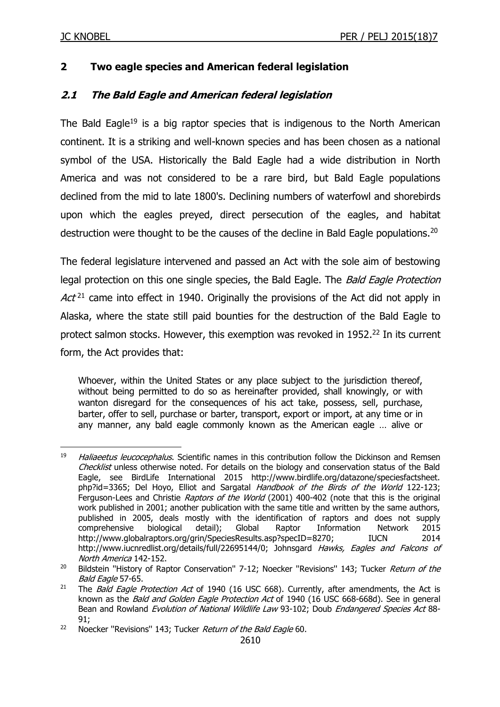## **2 Two eagle species and American federal legislation**

## **2.1 The Bald Eagle and American federal legislation**

The Bald Eagle<sup>19</sup> is a big raptor species that is indigenous to the North American continent. It is a striking and well-known species and has been chosen as a national symbol of the USA. Historically the Bald Eagle had a wide distribution in North America and was not considered to be a rare bird, but Bald Eagle populations declined from the mid to late 1800's. Declining numbers of waterfowl and shorebirds upon which the eagles preyed, direct persecution of the eagles, and habitat destruction were thought to be the causes of the decline in Bald Eagle populations.<sup>20</sup>

The federal legislature intervened and passed an Act with the sole aim of bestowing legal protection on this one single species, the Bald Eagle. The *Bald Eagle Protection* Act<sup>21</sup> came into effect in 1940. Originally the provisions of the Act did not apply in Alaska, where the state still paid bounties for the destruction of the Bald Eagle to protect salmon stocks. However, this exemption was revoked in 1952.<sup>22</sup> In its current form, the Act provides that:

Whoever, within the United States or any place subject to the jurisdiction thereof, without being permitted to do so as hereinafter provided, shall knowingly, or with wanton disregard for the consequences of his act take, possess, sell, purchase, barter, offer to sell, purchase or barter, transport, export or import, at any time or in any manner, any bald eagle commonly known as the American eagle … alive or

<sup>19</sup> Haliaeetus leucocephalus. Scientific names in this contribution follow the Dickinson and Remsen Checklist unless otherwise noted. For details on the biology and conservation status of the Bald Eagle, see BirdLife International 2015 http://www.birdlife.org/datazone/speciesfactsheet. php?id=3365; Del Hoyo, Elliot and Sargatal Handbook of the Birds of the World 122-123; Ferguson-Lees and Christie Raptors of the World (2001) 400-402 (note that this is the original work published in 2001; another publication with the same title and written by the same authors, published in 2005, deals mostly with the identification of raptors and does not supply comprehensive biological detail); Global Raptor Information Network 2015 http://www.globalraptors.org/grin/SpeciesResults.asp?specID=8270; IUCN 2014 http://www.iucnredlist.org/details/full/22695144/0; Johnsgard Hawks, Eagles and Falcons of North America 142-152.

<sup>&</sup>lt;sup>20</sup> Bildstein "History of Raptor Conservation" 7-12; Noecker "Revisions" 143; Tucker Return of the Bald Eagle 57-65.

<sup>&</sup>lt;sup>21</sup> The *Bald Eagle Protection Act* of 1940 (16 USC 668). Currently, after amendments, the Act is known as the *Bald and Golden Eagle Protection Act* of 1940 (16 USC 668-668d). See in general Bean and Rowland Evolution of National Wildlife Law 93-102; Doub Endangered Species Act 88-91;

<sup>&</sup>lt;sup>22</sup> Noecker "Revisions" 143; Tucker *Return of the Bald Eagle* 60.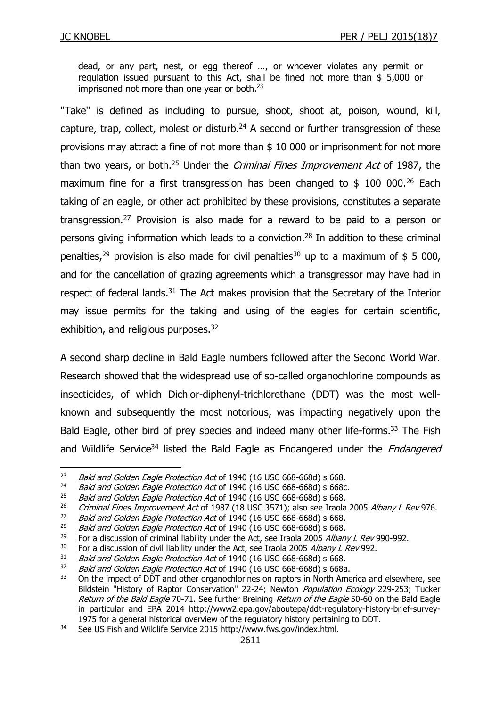dead, or any part, nest, or egg thereof …, or whoever violates any permit or regulation issued pursuant to this Act, shall be fined not more than \$ 5,000 or imprisoned not more than one year or both.<sup>23</sup>

"Take" is defined as including to pursue, shoot, shoot at, poison, wound, kill, capture, trap, collect, molest or disturb. $24$  A second or further transgression of these provisions may attract a fine of not more than \$ 10 000 or imprisonment for not more than two years, or both.<sup>25</sup> Under the *Criminal Fines Improvement Act* of 1987, the maximum fine for a first transgression has been changed to \$ 100 000.<sup>26</sup> Each taking of an eagle, or other act prohibited by these provisions, constitutes a separate transgression.<sup>27</sup> Provision is also made for a reward to be paid to a person or persons giving information which leads to a conviction. <sup>28</sup> In addition to these criminal penalties, <sup>29</sup> provision is also made for civil penalties<sup>30</sup> up to a maximum of  $\frac{1}{2}$  5 000, and for the cancellation of grazing agreements which a transgressor may have had in respect of federal lands.<sup>31</sup> The Act makes provision that the Secretary of the Interior may issue permits for the taking and using of the eagles for certain scientific, exhibition, and religious purposes.<sup>32</sup>

A second sharp decline in Bald Eagle numbers followed after the Second World War. Research showed that the widespread use of so-called organochlorine compounds as insecticides, of which Dichlor-diphenyl-trichlorethane (DDT) was the most wellknown and subsequently the most notorious, was impacting negatively upon the Bald Eagle, other bird of prey species and indeed many other life-forms.<sup>33</sup> The Fish and Wildlife Service<sup>34</sup> listed the Bald Eagle as Endangered under the *Endangered* 

<sup>&</sup>lt;sup>23</sup> Bald and Golden Eagle Protection Act of 1940 (16 USC 668-668d) s 668.<br><sup>24</sup> Bald and Golden Eagle Protection Act of 1940 (16 USC 668-668d) s 668c

 $^{24}$  Bald and Golden Eagle Protection Act of 1940 (16 USC 668-668d) s 668c.<br> $^{25}$  Bald and Golden Eagle Protection Act of 1940 (16 USC 668-668d) s 668

<sup>&</sup>lt;sup>25</sup> Bald and Golden Eagle Protection Act of 1940 (16 USC 668-668d) s 668.<br><sup>26</sup> Criminal Fines Improvement Act of 1987 (18 USC 3571); also see Iraola

<sup>&</sup>lt;sup>26</sup> Criminal Fines Improvement Act of 1987 (18 USC 3571); also see Iraola 2005 Albany L Rev 976.<br><sup>27</sup> Bald and Golden Eagle Protection Act of 1940 (16 USC 668-668d) s 668.

<sup>&</sup>lt;sup>27</sup> Bald and Golden Eagle Protection Act of 1940 (16 USC 668-668d) s 668.<br><sup>28</sup> Bald and Colden Eagle Protection Act of 1940 (16 USC 669 669d) s 669.

<sup>&</sup>lt;sup>28</sup> Bald and Golden Eagle Protection Act of 1940 (16 USC 668-668d) s 668.<br><sup>29</sup> Eer a discussion of criminal liability under the Act, see Iraela 2005 *Alban* 

<sup>&</sup>lt;sup>29</sup> For a discussion of criminal liability under the Act, see Iraola 2005 *Albany L Rev* 990-992.<br><sup>30</sup> For a discussion of civil liability under the Act, see Iraola 2005 *Albany L Peu* 992.

<sup>&</sup>lt;sup>30</sup> For a discussion of civil liability under the Act, see Iraola 2005 *Albany L Rev* 992.<br><sup>31</sup> Bald and Golden Eagle Protection Act of 1940 (16 USC 668-668d) s 668

 $31$  Bald and Golden Eagle Protection Act of 1940 (16 USC 668-668d) s 668.<br> $32$  Bald and Golden Eagle Protection Act of 1940 (16 USC 668-668d) s 668a.

 $32$  Bald and Golden Eagle Protection Act of 1940 (16 USC 668-668d) s 668a.<br> $33$  On the impact of DDT and other organochlorines on raptors in North Ame

<sup>33</sup> On the impact of DDT and other organochlorines on raptors in North America and elsewhere, see Bildstein "History of Raptor Conservation" 22-24; Newton *Population Ecology* 229-253; Tucker Return of the Bald Eagle 70-71. See further Breining Return of the Eagle 50-60 on the Bald Eagle in particular and EPA 2014 http://www2.epa.gov/aboutepa/ddt-regulatory-history-brief-survey-1975 for a general historical overview of the regulatory history pertaining to DDT.

<sup>34</sup> See US Fish and Wildlife Service 2015 http://www.fws.gov/index.html.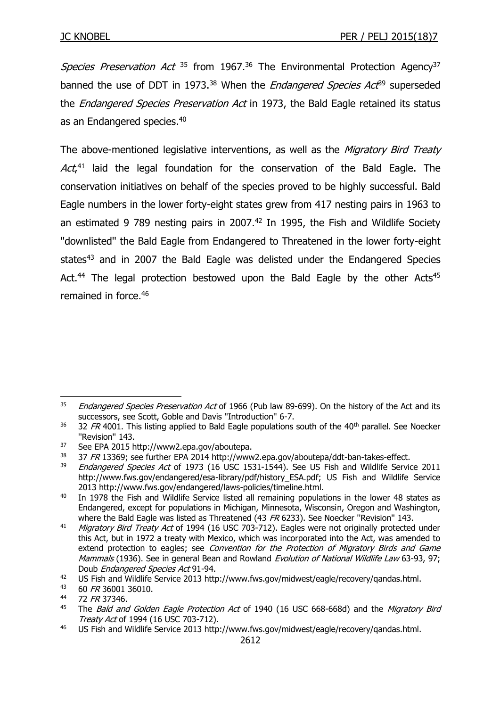Species Preservation Act <sup>35</sup> from 1967.<sup>36</sup> The Environmental Protection Agency<sup>37</sup> banned the use of DDT in 1973.<sup>38</sup> When the *Endangered Species Act*<sup>89</sup> superseded the *Endangered Species Preservation Act* in 1973, the Bald Eagle retained its status as an Endangered species. 40

The above-mentioned legislative interventions, as well as the Migratory Bird Treaty  $Act<sub>1</sub><sup>41</sup>$  laid the legal foundation for the conservation of the Bald Eagle. The conservation initiatives on behalf of the species proved to be highly successful. Bald Eagle numbers in the lower forty-eight states grew from 417 nesting pairs in 1963 to an estimated 9 789 nesting pairs in 2007. <sup>42</sup> In 1995, the Fish and Wildlife Society "downlisted" the Bald Eagle from Endangered to Threatened in the lower forty-eight states<sup>43</sup> and in 2007 the Bald Eagle was delisted under the Endangered Species Act.<sup>44</sup> The legal protection bestowed upon the Bald Eagle by the other Acts<sup>45</sup> remained in force.<sup>46</sup>

 $\overline{\phantom{a}}$ <sup>35</sup> Endangered Species Preservation Act of 1966 (Pub law 89-699). On the history of the Act and its successors, see Scott, Goble and Davis "Introduction" 6-7.

 $36$  32 FR 4001. This listing applied to Bald Eagle populations south of the 40<sup>th</sup> parallel. See Noecker "Revision" 143.

 $37$  See EPA 2015 http://www2.epa.gov/aboutepa.

 $38$  37 FR 13369; see further EPA 2014 http://www2.epa.gov/aboutepa/ddt-ban-takes-effect.

Endangered Species Act of 1973 (16 USC 1531-1544). See US Fish and Wildlife Service 2011 http://www.fws.gov/endangered/esa-library/pdf/history\_ESA.pdf; US Fish and Wildlife Service 2013 http://www.fws.gov/endangered/laws-policies/timeline.html.

<sup>&</sup>lt;sup>40</sup> In 1978 the Fish and Wildlife Service listed all remaining populations in the lower 48 states as Endangered, except for populations in Michigan, Minnesota, Wisconsin, Oregon and Washington, where the Bald Eagle was listed as Threatened (43  $FR$  6233). See Noecker "Revision" 143.

<sup>&</sup>lt;sup>41</sup> Migratory Bird Treaty Act of 1994 (16 USC 703-712). Eagles were not originally protected under this Act, but in 1972 a treaty with Mexico, which was incorporated into the Act, was amended to extend protection to eagles; see Convention for the Protection of Migratory Birds and Game Mammals (1936). See in general Bean and Rowland *Evolution of National Wildlife Law* 63-93, 97; Doub Endangered Species Act 91-94.

<sup>42</sup> US Fish and Wildlife Service 2013 http://www.fws.gov/midwest/eagle/recovery/qandas.html.

<sup>43</sup> 60 FR 36001 36010.

<sup>44 72</sup> FR 37346.

<sup>&</sup>lt;sup>45</sup> The *Bald and Golden Eagle Protection Act* of 1940 (16 USC 668-668d) and the Migratory Bird Treaty Act of 1994 (16 USC 703-712).

<sup>46</sup> US Fish and Wildlife Service 2013 http://www.fws.gov/midwest/eagle/recovery/qandas.html.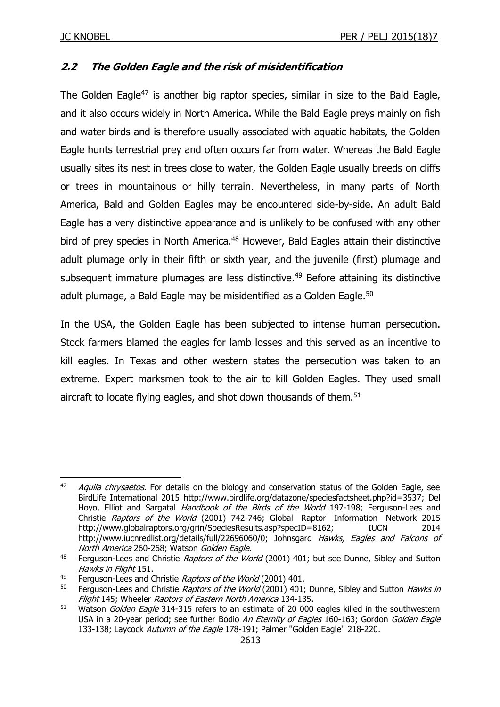1

## **2.2 The Golden Eagle and the risk of misidentification**

The Golden Eagle<sup>47</sup> is another big raptor species, similar in size to the Bald Eagle, and it also occurs widely in North America. While the Bald Eagle preys mainly on fish and water birds and is therefore usually associated with aquatic habitats, the Golden Eagle hunts terrestrial prey and often occurs far from water. Whereas the Bald Eagle usually sites its nest in trees close to water, the Golden Eagle usually breeds on cliffs or trees in mountainous or hilly terrain. Nevertheless, in many parts of North America, Bald and Golden Eagles may be encountered side-by-side. An adult Bald Eagle has a very distinctive appearance and is unlikely to be confused with any other bird of prey species in North America.<sup>48</sup> However, Bald Eagles attain their distinctive adult plumage only in their fifth or sixth year, and the juvenile (first) plumage and subsequent immature plumages are less distinctive.<sup>49</sup> Before attaining its distinctive adult plumage, a Bald Eagle may be misidentified as a Golden Eagle.<sup>50</sup>

In the USA, the Golden Eagle has been subjected to intense human persecution. Stock farmers blamed the eagles for lamb losses and this served as an incentive to kill eagles. In Texas and other western states the persecution was taken to an extreme. Expert marksmen took to the air to kill Golden Eagles. They used small aircraft to locate flying eagles, and shot down thousands of them.<sup>51</sup>

<sup>47</sup> Aquila chrysaetos. For details on the biology and conservation status of the Golden Eagle, see BirdLife International 2015 http://www.birdlife.org/datazone/speciesfactsheet.php?id=3537; Del Hoyo, Elliot and Sargatal Handbook of the Birds of the World 197-198; Ferguson-Lees and Christie Raptors of the World (2001) 742-746; Global Raptor Information Network 2015 http://www.globalraptors.org/grin/SpeciesResults.asp?specID=8162; IUCN 2014 http://www.iucnredlist.org/details/full/22696060/0; Johnsgard Hawks, Eagles and Falcons of North America 260-268; Watson Golden Eagle.

<sup>&</sup>lt;sup>48</sup> Ferguson-Lees and Christie *Raptors of the World* (2001) 401; but see Dunne, Sibley and Sutton Hawks in Flight 151.

<sup>&</sup>lt;sup>49</sup> Ferguson-Lees and Christie Raptors of the World (2001) 401.

<sup>&</sup>lt;sup>50</sup> Ferguson-Lees and Christie *Raptors of the World* (2001) 401; Dunne, Sibley and Sutton *Hawks in* Flight 145; Wheeler Raptors of Eastern North America 134-135.

 $51$  Watson *Golden Eagle* 314-315 refers to an estimate of 20 000 eagles killed in the southwestern USA in a 20-year period; see further Bodio An Eternity of Eagles 160-163; Gordon Golden Eagle 133-138; Laycock Autumn of the Eagle 178-191; Palmer "Golden Eagle" 218-220.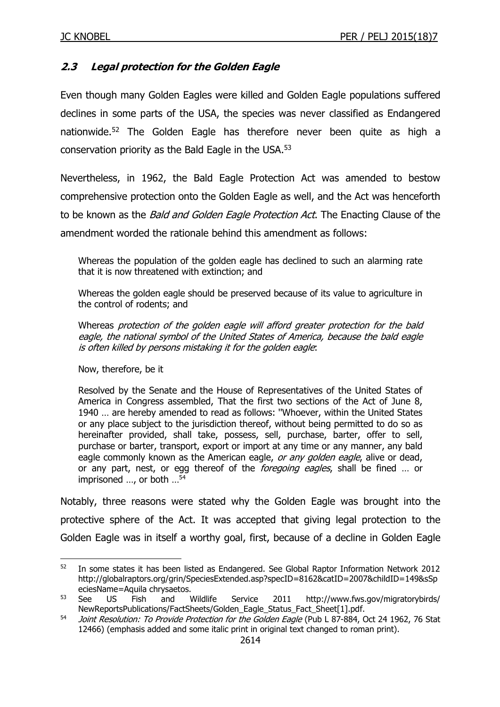## **2.3 Legal protection for the Golden Eagle**

Even though many Golden Eagles were killed and Golden Eagle populations suffered declines in some parts of the USA, the species was never classified as Endangered nationwide.<sup>52</sup> The Golden Eagle has therefore never been quite as high a conservation priority as the Bald Eagle in the USA. 53

Nevertheless, in 1962, the Bald Eagle Protection Act was amended to bestow comprehensive protection onto the Golden Eagle as well, and the Act was henceforth to be known as the *Bald and Golden Eagle Protection Act*. The Enacting Clause of the amendment worded the rationale behind this amendment as follows:

Whereas the population of the golden eagle has declined to such an alarming rate that it is now threatened with extinction; and

Whereas the golden eagle should be preserved because of its value to agriculture in the control of rodents; and

Whereas protection of the golden eagle will afford greater protection for the bald eagle, the national symbol of the United States of America, because the bald eagle is often killed by persons mistaking it for the golden eagle:

Now, therefore, be it

**.** 

Resolved by the Senate and the House of Representatives of the United States of America in Congress assembled, That the first two sections of the Act of June 8, 1940 ... are hereby amended to read as follows: "Whoever, within the United States or any place subject to the jurisdiction thereof, without being permitted to do so as hereinafter provided, shall take, possess, sell, purchase, barter, offer to sell, purchase or barter, transport, export or import at any time or any manner, any bald eagle commonly known as the American eagle, or any golden eagle, alive or dead, or any part, nest, or egg thereof of the *foregoing eagles*, shall be fined ... or imprisoned …, or both …<sup>54</sup>

Notably, three reasons were stated why the Golden Eagle was brought into the protective sphere of the Act. It was accepted that giving legal protection to the Golden Eagle was in itself a worthy goal, first, because of a decline in Golden Eagle

<sup>&</sup>lt;sup>52</sup> In some states it has been listed as Endangered. See Global Raptor Information Network 2012 http://globalraptors.org/grin/SpeciesExtended.asp?specID=8162&catID=2007&childID=149&sSp eciesName=Aquila chrysaetos.

<sup>53</sup> See US Fish and Wildlife Service 2011 http://www.fws.gov/migratorybirds/ NewReportsPublications/FactSheets/Golden\_Eagle\_Status\_Fact\_Sheet[1].pdf.

<sup>54</sup> Joint Resolution: To Provide Protection for the Golden Eagle (Pub L 87-884, Oct 24 1962, 76 Stat 12466) (emphasis added and some italic print in original text changed to roman print).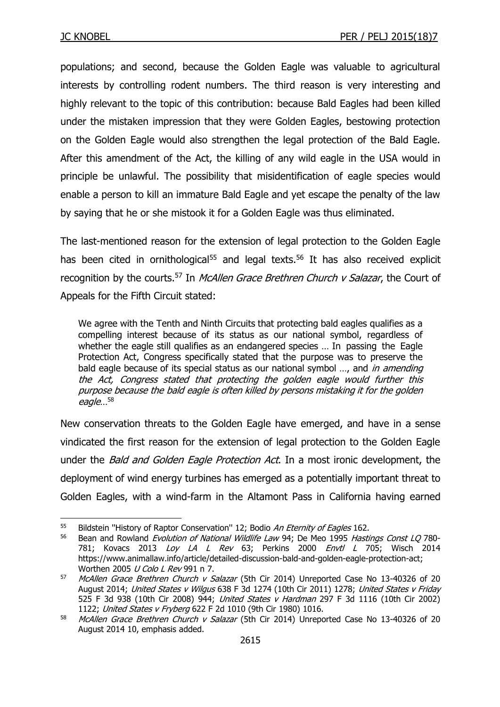populations; and second, because the Golden Eagle was valuable to agricultural interests by controlling rodent numbers. The third reason is very interesting and highly relevant to the topic of this contribution: because Bald Eagles had been killed under the mistaken impression that they were Golden Eagles, bestowing protection on the Golden Eagle would also strengthen the legal protection of the Bald Eagle. After this amendment of the Act, the killing of any wild eagle in the USA would in principle be unlawful. The possibility that misidentification of eagle species would enable a person to kill an immature Bald Eagle and yet escape the penalty of the law by saying that he or she mistook it for a Golden Eagle was thus eliminated.

The last-mentioned reason for the extension of legal protection to the Golden Eagle has been cited in ornithological<sup>55</sup> and legal texts.<sup>56</sup> It has also received explicit recognition by the courts.<sup>57</sup> In *McAllen Grace Brethren Church v Salazar*, the Court of Appeals for the Fifth Circuit stated:

We agree with the Tenth and Ninth Circuits that protecting bald eagles qualifies as a compelling interest because of its status as our national symbol, regardless of whether the eagle still qualifies as an endangered species … In passing the Eagle Protection Act, Congress specifically stated that the purpose was to preserve the bald eagle because of its special status as our national symbol ..., and in amending the Act, Congress stated that protecting the golden eagle would further this purpose because the bald eagle is often killed by persons mistaking it for the golden  $e$ agle $\ldots$ <sup>58</sup>

New conservation threats to the Golden Eagle have emerged, and have in a sense vindicated the first reason for the extension of legal protection to the Golden Eagle under the *Bald and Golden Eagle Protection Act*. In a most ironic development, the deployment of wind energy turbines has emerged as a potentially important threat to Golden Eagles, with a wind-farm in the Altamont Pass in California having earned

<sup>55</sup> Bildstein "History of Raptor Conservation" 12; Bodio An Eternity of Eagles 162.<br>56 Boare and Bowland, Fuglishers of National Wildlife Law 94: De Mee 1995, Hacti

Bean and Rowland Evolution of National Wildlife Law 94; De Meo 1995 Hastings Const LO 780-781; Kovacs 2013 Loy LA L Rev 63; Perkins 2000 Envtl L 705; Wisch 2014 https://www.animallaw.info/article/detailed-discussion-bald-and-golden-eagle-protection-act; Worthen 2005 *U Colo L Rev* 991 n 7.

<sup>57</sup> McAllen Grace Brethren Church v Salazar (5th Cir 2014) Unreported Case No 13-40326 of 20 August 2014; United States v Wilgus 638 F 3d 1274 (10th Cir 2011) 1278; United States v Fridav 525 F 3d 938 (10th Cir 2008) 944; United States v Hardman 297 F 3d 1116 (10th Cir 2002) 1122; United States v Fryberg 622 F 2d 1010 (9th Cir 1980) 1016.

<sup>58</sup> McAllen Grace Brethren Church v Salazar (5th Cir 2014) Unreported Case No 13-40326 of 20 August 2014 10, emphasis added.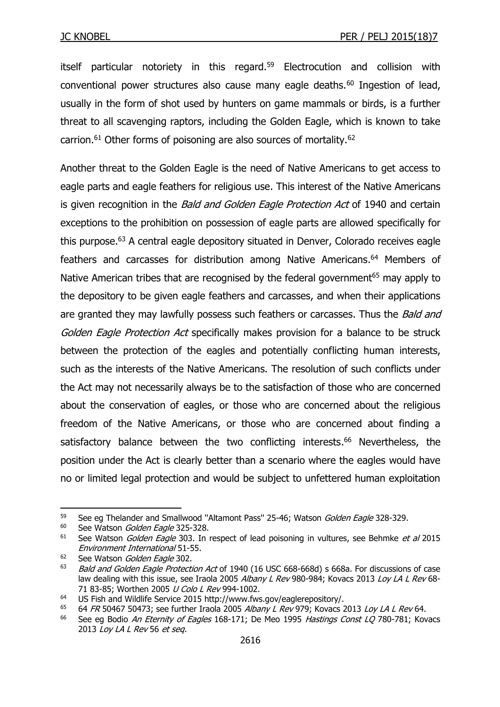itself particular notoriety in this regard.<sup>59</sup> Electrocution and collision with conventional power structures also cause many eagle deaths.<sup>60</sup> Ingestion of lead, usually in the form of shot used by hunters on game mammals or birds, is a further threat to all scavenging raptors, including the Golden Eagle, which is known to take carrion.<sup>61</sup> Other forms of poisoning are also sources of mortality.<sup>62</sup>

Another threat to the Golden Eagle is the need of Native Americans to get access to eagle parts and eagle feathers for religious use. This interest of the Native Americans is given recognition in the *Bald and Golden Eagle Protection Act* of 1940 and certain exceptions to the prohibition on possession of eagle parts are allowed specifically for this purpose.<sup>63</sup> A central eagle depository situated in Denver, Colorado receives eagle feathers and carcasses for distribution among Native Americans. <sup>64</sup> Members of Native American tribes that are recognised by the federal government<sup>65</sup> may apply to the depository to be given eagle feathers and carcasses, and when their applications are granted they may lawfully possess such feathers or carcasses. Thus the *Bald and* Golden Eagle Protection Act specifically makes provision for a balance to be struck between the protection of the eagles and potentially conflicting human interests, such as the interests of the Native Americans. The resolution of such conflicts under the Act may not necessarily always be to the satisfaction of those who are concerned about the conservation of eagles, or those who are concerned about the religious freedom of the Native Americans, or those who are concerned about finding a satisfactory balance between the two conflicting interests.<sup>66</sup> Nevertheless, the position under the Act is clearly better than a scenario where the eagles would have no or limited legal protection and would be subject to unfettered human exploitation

<sup>60</sup> See Watson *Golden Eagle* 325-328.<br><sup>61</sup> See Watson *Golden Eagle* 303 In i

<sup>59</sup> See eg Thelander and Smallwood "Altamont Pass" 25-46; Watson *Golden Eagle* 328-329.<br>60 See Watson *Golden Eagle* 325-328

See Watson *Golden Eagle* 303. In respect of lead poisoning in vultures, see Behmke et al 2015 Environment International 51-55.

<sup>&</sup>lt;sup>62</sup> See Watson *Golden Eagle* 302.

<sup>63</sup> Bald and Golden Eagle Protection Act of 1940 (16 USC 668-668d) s 668a. For discussions of case law dealing with this issue, see Iraola 2005 Albany L Rev 980-984; Kovacs 2013 Loy LA L Rev 68-71 83-85; Worthen 2005 *U Colo L Rev* 994-1002.

<sup>64</sup> US Fish and Wildlife Service 2015 http://www.fws.gov/eaglerepository/.

<sup>&</sup>lt;sup>65</sup> 64 FR 50467 50473; see further Iraola 2005 Albany L Rev 979; Kovacs 2013 Loy LA L Rev 64.

See eg Bodio An Eternity of Eagles 168-171; De Meo 1995 Hastings Const LQ 780-781; Kovacs 2013 Loy LA L Rev 56 et seq.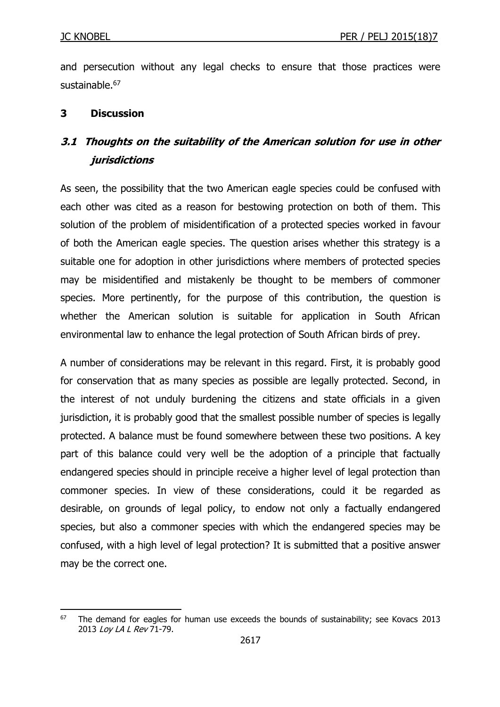and persecution without any legal checks to ensure that those practices were sustainable.<sup>67</sup>

## **3 Discussion**

## **3.1 Thoughts on the suitability of the American solution for use in other jurisdictions**

As seen, the possibility that the two American eagle species could be confused with each other was cited as a reason for bestowing protection on both of them. This solution of the problem of misidentification of a protected species worked in favour of both the American eagle species. The question arises whether this strategy is a suitable one for adoption in other jurisdictions where members of protected species may be misidentified and mistakenly be thought to be members of commoner species. More pertinently, for the purpose of this contribution, the question is whether the American solution is suitable for application in South African environmental law to enhance the legal protection of South African birds of prey.

A number of considerations may be relevant in this regard. First, it is probably good for conservation that as many species as possible are legally protected. Second, in the interest of not unduly burdening the citizens and state officials in a given jurisdiction, it is probably good that the smallest possible number of species is legally protected. A balance must be found somewhere between these two positions. A key part of this balance could very well be the adoption of a principle that factually endangered species should in principle receive a higher level of legal protection than commoner species. In view of these considerations, could it be regarded as desirable, on grounds of legal policy, to endow not only a factually endangered species, but also a commoner species with which the endangered species may be confused, with a high level of legal protection? It is submitted that a positive answer may be the correct one.

 $67$  The demand for eagles for human use exceeds the bounds of sustainability; see Kovacs 2013 2013 Loy LA L Rev 71-79.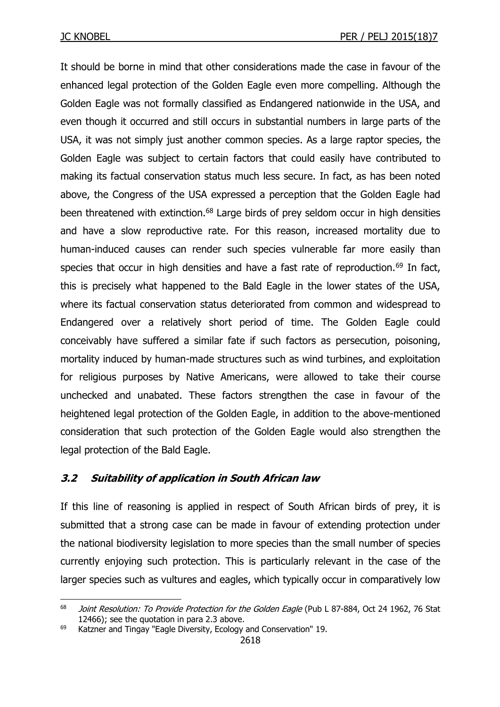It should be borne in mind that other considerations made the case in favour of the enhanced legal protection of the Golden Eagle even more compelling. Although the Golden Eagle was not formally classified as Endangered nationwide in the USA, and even though it occurred and still occurs in substantial numbers in large parts of the USA, it was not simply just another common species. As a large raptor species, the Golden Eagle was subject to certain factors that could easily have contributed to making its factual conservation status much less secure. In fact, as has been noted above, the Congress of the USA expressed a perception that the Golden Eagle had been threatened with extinction.<sup>68</sup> Large birds of prey seldom occur in high densities and have a slow reproductive rate. For this reason, increased mortality due to human-induced causes can render such species vulnerable far more easily than species that occur in high densities and have a fast rate of reproduction.<sup>69</sup> In fact, this is precisely what happened to the Bald Eagle in the lower states of the USA, where its factual conservation status deteriorated from common and widespread to Endangered over a relatively short period of time. The Golden Eagle could conceivably have suffered a similar fate if such factors as persecution, poisoning, mortality induced by human-made structures such as wind turbines, and exploitation for religious purposes by Native Americans, were allowed to take their course unchecked and unabated. These factors strengthen the case in favour of the heightened legal protection of the Golden Eagle, in addition to the above-mentioned consideration that such protection of the Golden Eagle would also strengthen the legal protection of the Bald Eagle.

## **3.2 Suitability of application in South African law**

If this line of reasoning is applied in respect of South African birds of prey, it is submitted that a strong case can be made in favour of extending protection under the national biodiversity legislation to more species than the small number of species currently enjoying such protection. This is particularly relevant in the case of the larger species such as vultures and eagles, which typically occur in comparatively low

<sup>68</sup> Joint Resolution: To Provide Protection for the Golden Eagle (Pub L 87-884, Oct 24 1962, 76 Stat 12466); see the quotation in para 2.3 above.

 $69$  Katzner and Tingay "Eagle Diversity, Ecology and Conservation" 19.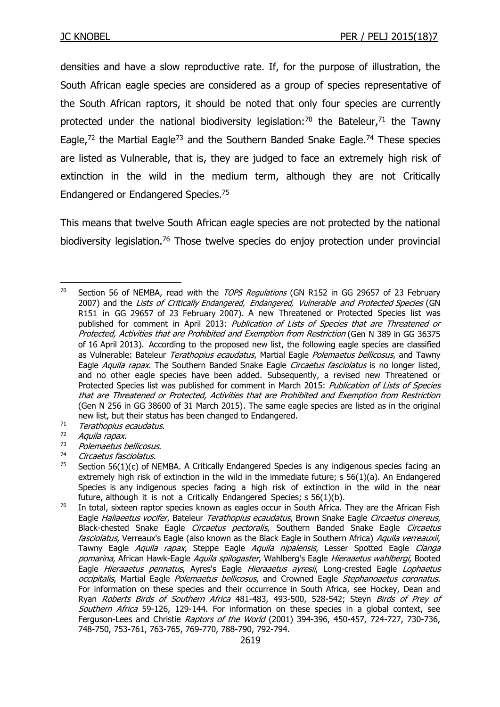densities and have a slow reproductive rate. If, for the purpose of illustration, the South African eagle species are considered as a group of species representative of the South African raptors, it should be noted that only four species are currently protected under the national biodiversity legislation:<sup>70</sup> the Bateleur,<sup>71</sup> the Tawny Eagle, $72$  the Martial Eagle<sup>73</sup> and the Southern Banded Snake Eagle.<sup>74</sup> These species are listed as Vulnerable, that is, they are judged to face an extremely high risk of extinction in the wild in the medium term, although they are not Critically Endangered or Endangered Species. 75

This means that twelve South African eagle species are not protected by the national biodiversity legislation.<sup>76</sup> Those twelve species do enjoy protection under provincial

- $71$  Terathopius ecaudatus.
- $72$  Aquila rapax.<br> $73$  Polemantus h

1

- $73$  Polemaetus bellicosus.
- $74$  Circaetus fasciolatus.
- Section 56(1)(c) of NEMBA. A Critically Endangered Species is any indigenous species facing an extremely high risk of extinction in the wild in the immediate future; s 56(1)(a). An Endangered Species is any indigenous species facing a high risk of extinction in the wild in the near future, although it is not a Critically Endangered Species; s 56(1)(b).
- <sup>76</sup> In total, sixteen raptor species known as eagles occur in South Africa. They are the African Fish Eagle Haliaeetus vocifer, Bateleur Terathopius ecaudatus, Brown Snake Eagle Circaetus cinereus, Black-chested Snake Eagle Circaetus pectoralis, Southern Banded Snake Eagle Circaetus fasciolatus, Verreaux's Eagle (also known as the Black Eagle in Southern Africa) Aquila verreauxii, Tawny Eagle *Aquila rapax*, Steppe Eagle Aquila nipalensis, Lesser Spotted Eagle Clanga pomarina, African Hawk-Eagle Aquila spilogaster, Wahlberg's Eagle Hieraaetus wahlbergi, Booted Eagle Hieraaetus pennatus, Ayres's Eagle Hieraaetus ayresii, Long-crested Eagle Lophaetus occipitalis, Martial Eagle Polemaetus bellicosus, and Crowned Eagle Stephanoaetus coronatus. For information on these species and their occurrence in South Africa, see Hockey, Dean and Ryan Roberts Birds of Southern Africa 481-483, 493-500, 528-542; Steyn Birds of Prey of Southern Africa 59-126, 129-144. For information on these species in a global context, see Ferguson-Lees and Christie Raptors of the World (2001) 394-396, 450-457, 724-727, 730-736, 748-750, 753-761, 763-765, 769-770, 788-790, 792-794.

<sup>&</sup>lt;sup>70</sup> Section 56 of NEMBA, read with the *TOPS Regulations* (GN R152 in GG 29657 of 23 February 2007) and the Lists of Critically Endangered, Endangered, Vulnerable and Protected Species (GN R151 in GG 29657 of 23 February 2007). A new Threatened or Protected Species list was published for comment in April 2013: Publication of Lists of Species that are Threatened or Protected, Activities that are Prohibited and Exemption from Restriction (Gen N 389 in GG 36375 of 16 April 2013). According to the proposed new list, the following eagle species are classified as Vulnerable: Bateleur Terathopius ecaudatus, Martial Eagle Polemaetus bellicosus, and Tawny Eagle *Aquila rapax*. The Southern Banded Snake Eagle *Circaetus fasciolatus* is no longer listed. and no other eagle species have been added. Subsequently, a revised new Threatened or Protected Species list was published for comment in March 2015: Publication of Lists of Species that are Threatened or Protected, Activities that are Prohibited and Exemption from Restriction (Gen N 256 in GG 38600 of 31 March 2015). The same eagle species are listed as in the original new list, but their status has been changed to Endangered.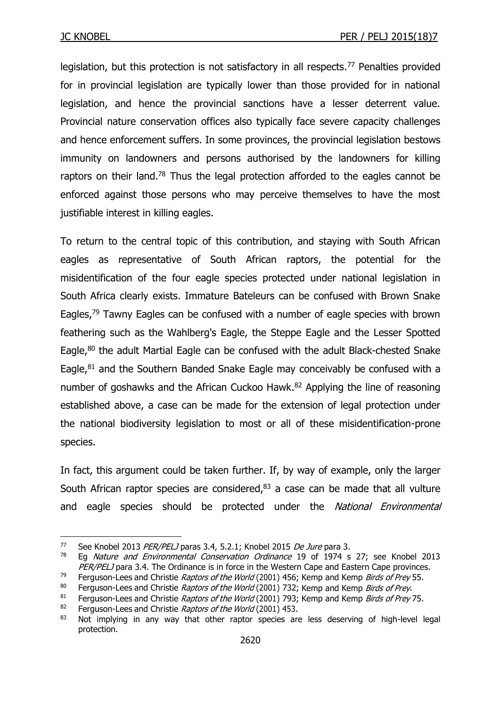legislation, but this protection is not satisfactory in all respects.<sup>77</sup> Penalties provided for in provincial legislation are typically lower than those provided for in national legislation, and hence the provincial sanctions have a lesser deterrent value. Provincial nature conservation offices also typically face severe capacity challenges and hence enforcement suffers. In some provinces, the provincial legislation bestows immunity on landowners and persons authorised by the landowners for killing raptors on their land.<sup>78</sup> Thus the legal protection afforded to the eagles cannot be enforced against those persons who may perceive themselves to have the most justifiable interest in killing eagles.

To return to the central topic of this contribution, and staying with South African eagles as representative of South African raptors, the potential for the misidentification of the four eagle species protected under national legislation in South Africa clearly exists. Immature Bateleurs can be confused with Brown Snake Eagles,<sup>79</sup> Tawny Eagles can be confused with a number of eagle species with brown feathering such as the Wahlberg's Eagle, the Steppe Eagle and the Lesser Spotted Eagle,<sup>80</sup> the adult Martial Eagle can be confused with the adult Black-chested Snake Eagle, $81$  and the Southern Banded Snake Eagle may conceivably be confused with a number of goshawks and the African Cuckoo Hawk.<sup>82</sup> Applying the line of reasoning established above, a case can be made for the extension of legal protection under the national biodiversity legislation to most or all of these misidentification-prone species.

In fact, this argument could be taken further. If, by way of example, only the larger South African raptor species are considered, $83$  a case can be made that all vulture and eagle species should be protected under the National Environmental

<sup>&</sup>lt;sup>77</sup> See Knobel 2013 *PER/PELJ* paras 3.4, 5.2.1; Knobel 2015 De Jure para 3.

 $78$  Eq Nature and Environmental Conservation Ordinance 19 of 1974 s 27; see Knobel 2013 PER/PELJ para 3.4. The Ordinance is in force in the Western Cape and Eastern Cape provinces.

<sup>&</sup>lt;sup>79</sup> Ferguson-Lees and Christie *Raptors of the World* (2001) 456; Kemp and Kemp *Birds of Prey* 55.

<sup>80</sup> Ferguson-Lees and Christie Raptors of the World (2001) 732; Kemp and Kemp Birds of Prey.

<sup>&</sup>lt;sup>81</sup> Ferguson-Lees and Christie *Raptors of the World* (2001) 793; Kemp and Kemp *Birds of Prey* 75.<br><sup>82</sup> Eerguson-Lees and Christie *Pantors of the World* (2001) 453.

<sup>&</sup>lt;sup>82</sup> Ferguson-Lees and Christie *Raptors of the World* (2001) 453.<br><sup>83</sup> Not implying in any way that other raptor species are

Not implying in any way that other raptor species are less deserving of high-level legal protection.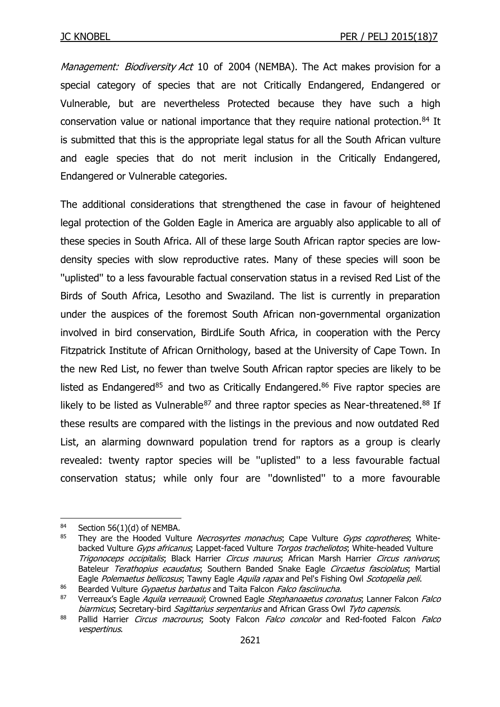Management: Biodiversity Act 10 of 2004 (NEMBA). The Act makes provision for a special category of species that are not Critically Endangered, Endangered or Vulnerable, but are nevertheless Protected because they have such a high conservation value or national importance that they require national protection.<sup>84</sup> It is submitted that this is the appropriate legal status for all the South African vulture and eagle species that do not merit inclusion in the Critically Endangered, Endangered or Vulnerable categories.

The additional considerations that strengthened the case in favour of heightened legal protection of the Golden Eagle in America are arguably also applicable to all of these species in South Africa. All of these large South African raptor species are lowdensity species with slow reproductive rates. Many of these species will soon be "uplisted" to a less favourable factual conservation status in a revised Red List of the Birds of South Africa, Lesotho and Swaziland. The list is currently in preparation under the auspices of the foremost South African non-governmental organization involved in bird conservation, BirdLife South Africa, in cooperation with the Percy Fitzpatrick Institute of African Ornithology, based at the University of Cape Town. In the new Red List, no fewer than twelve South African raptor species are likely to be listed as Endangered<sup>85</sup> and two as Critically Endangered.<sup>86</sup> Five raptor species are likely to be listed as Vulnerable $^{87}$  and three raptor species as Near-threatened. $^{88}$  If these results are compared with the listings in the previous and now outdated Red List, an alarming downward population trend for raptors as a group is clearly revealed: twenty raptor species will be "uplisted" to a less favourable factual conservation status; while only four are "downlisted" to a more favourable

 $84$  Section 56(1)(d) of NEMBA.

 $85$  They are the Hooded Vulture *Necrosyrtes monachus*; Cape Vulture *Gyps coprotheres*; Whitebacked Vulture Gyps africanus; Lappet-faced Vulture Torgos tracheliotos; White-headed Vulture Trigonoceps occipitalis; Black Harrier Circus maurus; African Marsh Harrier Circus ranivorus; Bateleur Terathopius ecaudatus; Southern Banded Snake Eagle Circaetus fasciolatus; Martial Eagle Polemaetus bellicosus; Tawny Eagle Aquila rapax and Pel's Fishing Owl Scotopelia peli.

<sup>86</sup> Bearded Vulture Gypaetus barbatus and Taita Falcon Falco fasciinucha.<br>87 Mercann's Fasle Aquila versauvir Crowned Fasle Stanbaneaetus cere

Verreaux's Eagle Aquila verreauxii; Crowned Eagle Stephanoaetus coronatus; Lanner Falcon Falco biarmicus; Secretary-bird Sagittarius serpentarius and African Grass Owl Tyto capensis.

<sup>88</sup> Pallid Harrier Circus macrourus; Sooty Falcon Falco concolor and Red-footed Falcon Falco vespertinus.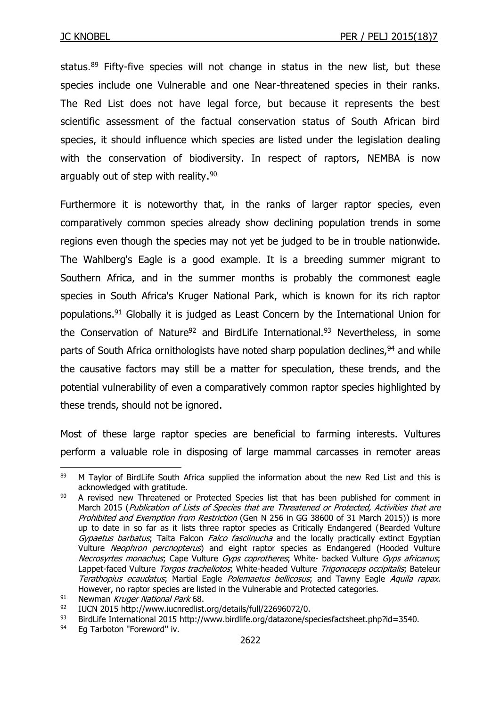status. $89$  Fifty-five species will not change in status in the new list, but these species include one Vulnerable and one Near-threatened species in their ranks. The Red List does not have legal force, but because it represents the best scientific assessment of the factual conservation status of South African bird species, it should influence which species are listed under the legislation dealing with the conservation of biodiversity. In respect of raptors, NEMBA is now arguably out of step with reality.<sup>90</sup>

Furthermore it is noteworthy that, in the ranks of larger raptor species, even comparatively common species already show declining population trends in some regions even though the species may not yet be judged to be in trouble nationwide. The Wahlberg's Eagle is a good example. It is a breeding summer migrant to Southern Africa, and in the summer months is probably the commonest eagle species in South Africa's Kruger National Park, which is known for its rich raptor populations. <sup>91</sup> Globally it is judged as Least Concern by the International Union for the Conservation of Nature<sup>92</sup> and BirdLife International.<sup>93</sup> Nevertheless, in some parts of South Africa ornithologists have noted sharp population declines,<sup>94</sup> and while the causative factors may still be a matter for speculation, these trends, and the potential vulnerability of even a comparatively common raptor species highlighted by these trends, should not be ignored.

Most of these large raptor species are beneficial to farming interests. Vultures perform a valuable role in disposing of large mammal carcasses in remoter areas

Eg Tarboton "Foreword" iv.

<sup>89</sup> M Taylor of BirdLife South Africa supplied the information about the new Red List and this is acknowledged with gratitude.

<sup>90</sup> A revised new Threatened or Protected Species list that has been published for comment in March 2015 (Publication of Lists of Species that are Threatened or Protected, Activities that are Prohibited and Exemption from Restriction (Gen N 256 in GG 38600 of 31 March 2015)) is more up to date in so far as it lists three raptor species as Critically Endangered (Bearded Vulture Gypaetus barbatus; Taita Falcon Falco fasciinucha and the locally practically extinct Egyptian Vulture Neophron percnopterus) and eight raptor species as Endangered (Hooded Vulture Necrosyrtes monachus; Cape Vulture Gyps coprotheres; White- backed Vulture Gyps africanus; Lappet-faced Vulture Torgos tracheliotos; White-headed Vulture Trigonoceps occipitalis; Bateleur Terathopius ecaudatus; Martial Eagle Polemaetus bellicosus; and Tawny Eagle Aquila rapax. However, no raptor species are listed in the Vulnerable and Protected categories.

<sup>&</sup>lt;sup>91</sup> Newman *Kruger National Park* 68.<br><sup>92</sup> ILICN 2015 http://www.jucpredlist

<sup>92</sup> IUCN 2015 http://www.iucnredlist.org/details/full/22696072/0.

<sup>93</sup> BirdLife International 2015 http://www.birdlife.org/datazone/speciesfactsheet.php?id=3540.<br>94 Eq. Tarboton "Foreword" iv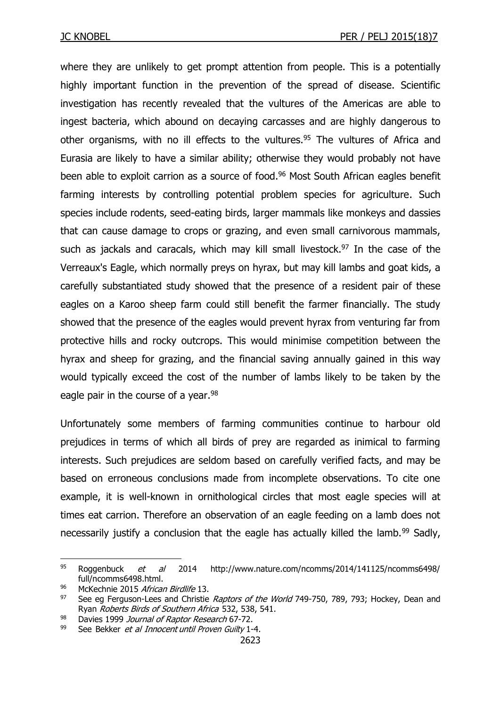where they are unlikely to get prompt attention from people. This is a potentially highly important function in the prevention of the spread of disease. Scientific investigation has recently revealed that the vultures of the Americas are able to ingest bacteria, which abound on decaying carcasses and are highly dangerous to other organisms, with no ill effects to the vultures.<sup>95</sup> The vultures of Africa and Eurasia are likely to have a similar ability; otherwise they would probably not have been able to exploit carrion as a source of food.<sup>96</sup> Most South African eagles benefit farming interests by controlling potential problem species for agriculture. Such species include rodents, seed-eating birds, larger mammals like monkeys and dassies that can cause damage to crops or grazing, and even small carnivorous mammals, such as jackals and caracals, which may kill small livestock.<sup>97</sup> In the case of the Verreaux's Eagle, which normally preys on hyrax, but may kill lambs and goat kids, a carefully substantiated study showed that the presence of a resident pair of these eagles on a Karoo sheep farm could still benefit the farmer financially. The study showed that the presence of the eagles would prevent hyrax from venturing far from protective hills and rocky outcrops. This would minimise competition between the hyrax and sheep for grazing, and the financial saving annually gained in this way would typically exceed the cost of the number of lambs likely to be taken by the eagle pair in the course of a year.<sup>98</sup>

Unfortunately some members of farming communities continue to harbour old prejudices in terms of which all birds of prey are regarded as inimical to farming interests. Such prejudices are seldom based on carefully verified facts, and may be based on erroneous conclusions made from incomplete observations. To cite one example, it is well-known in ornithological circles that most eagle species will at times eat carrion. Therefore an observation of an eagle feeding on a lamb does not necessarily justify a conclusion that the eagle has actually killed the lamb.<sup>99</sup> Sadly,

 $^{95}$  Roggenbuck *et al* 2014 http://www.nature.com/ncomms/2014/141125/ncomms6498/ full/ncomms6498.html.

<sup>96</sup> McKechnie 2015 African Birdlife 13.

<sup>97</sup> See eg Ferguson-Lees and Christie Raptors of the World 749-750, 789, 793; Hockey, Dean and Ryan Roberts Birds of Southern Africa 532, 538, 541.

<sup>98</sup> Davies 1999 Journal of Raptor Research 67-72.

See Bekker et al Innocent until Proven Guilty 1-4.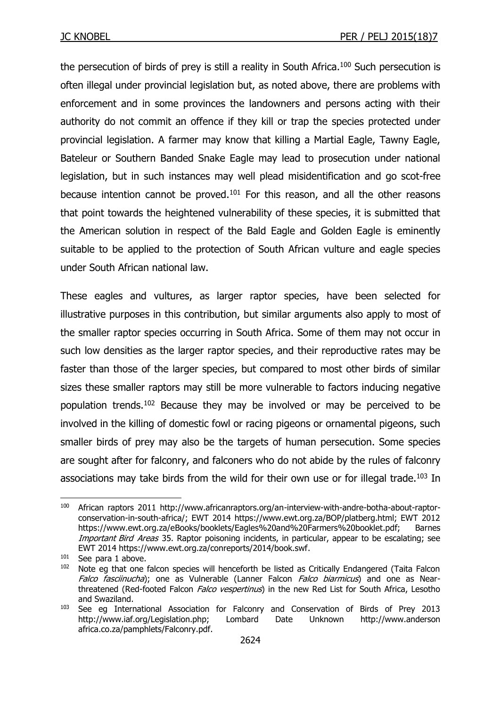the persecution of birds of prey is still a reality in South Africa.<sup>100</sup> Such persecution is often illegal under provincial legislation but, as noted above, there are problems with enforcement and in some provinces the landowners and persons acting with their authority do not commit an offence if they kill or trap the species protected under provincial legislation. A farmer may know that killing a Martial Eagle, Tawny Eagle, Bateleur or Southern Banded Snake Eagle may lead to prosecution under national legislation, but in such instances may well plead misidentification and go scot-free because intention cannot be proved. <sup>101</sup> For this reason, and all the other reasons that point towards the heightened vulnerability of these species, it is submitted that the American solution in respect of the Bald Eagle and Golden Eagle is eminently suitable to be applied to the protection of South African vulture and eagle species under South African national law.

These eagles and vultures, as larger raptor species, have been selected for illustrative purposes in this contribution, but similar arguments also apply to most of the smaller raptor species occurring in South Africa. Some of them may not occur in such low densities as the larger raptor species, and their reproductive rates may be faster than those of the larger species, but compared to most other birds of similar sizes these smaller raptors may still be more vulnerable to factors inducing negative population trends.<sup>102</sup> Because they may be involved or may be perceived to be involved in the killing of domestic fowl or racing pigeons or ornamental pigeons, such smaller birds of prey may also be the targets of human persecution. Some species are sought after for falconry, and falconers who do not abide by the rules of falconry associations may take birds from the wild for their own use or for illegal trade.<sup>103</sup> In

 $\overline{a}$ 

<sup>100</sup> African raptors 2011 http://www.africanraptors.org/an-interview-with-andre-botha-about-raptorconservation-in-south-africa/; EWT 2014 https://www.ewt.org.za/BOP/platberg.html; EWT 2012 https://www.ewt.org.za/eBooks/booklets/Eagles%20and%20Farmers%20booklet.pdf; Barnes Important Bird Areas 35. Raptor poisoning incidents, in particular, appear to be escalating; see EWT 2014 https://www.ewt.org.za/conreports/2014/book.swf.

 $^{101}$  See para 1 above.

Note eg that one falcon species will henceforth be listed as Critically Endangered (Taita Falcon Falco fasciinucha); one as Vulnerable (Lanner Falcon Falco biarmicus) and one as Nearthreatened (Red-footed Falcon *Falco vespertinus*) in the new Red List for South Africa, Lesotho and Swaziland.

<sup>&</sup>lt;sup>103</sup> See eg International Association for Falconry and Conservation of Birds of Prey 2013 http://www.iaf.org/Legislation.php; Lombard Date Unknown http://www.anderson africa.co.za/pamphlets/Falconry.pdf.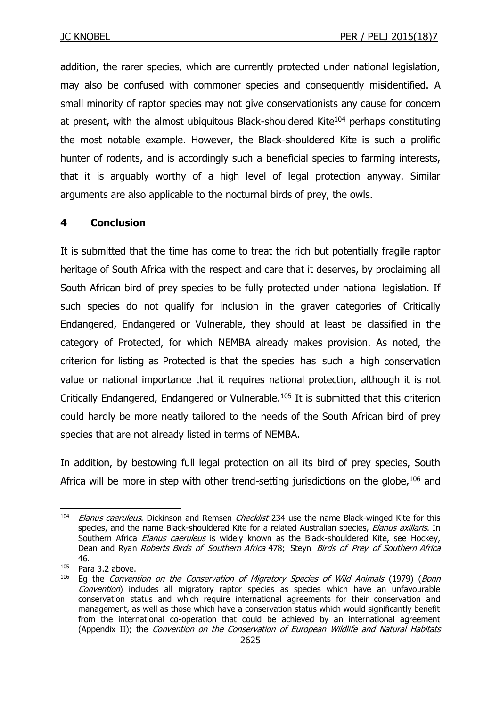addition, the rarer species, which are currently protected under national legislation, may also be confused with commoner species and consequently misidentified. A small minority of raptor species may not give conservationists any cause for concern at present, with the almost ubiquitous Black-shouldered Kite $104$  perhaps constituting the most notable example. However, the Black-shouldered Kite is such a prolific hunter of rodents, and is accordingly such a beneficial species to farming interests, that it is arguably worthy of a high level of legal protection anyway. Similar arguments are also applicable to the nocturnal birds of prey, the owls.

## **4 Conclusion**

It is submitted that the time has come to treat the rich but potentially fragile raptor heritage of South Africa with the respect and care that it deserves, by proclaiming all South African bird of prey species to be fully protected under national legislation. If such species do not qualify for inclusion in the graver categories of Critically Endangered, Endangered or Vulnerable, they should at least be classified in the category of Protected, for which NEMBA already makes provision. As noted, the criterion for listing as Protected is that the species has such a high conservation value or national importance that it requires national protection, although it is not Critically Endangered, Endangered or Vulnerable. <sup>105</sup> It is submitted that this criterion could hardly be more neatly tailored to the needs of the South African bird of prey species that are not already listed in terms of NEMBA.

In addition, by bestowing full legal protection on all its bird of prey species, South Africa will be more in step with other trend-setting jurisdictions on the globe,  $106$  and

**<sup>.</sup>**  $104$  *Elanus caeruleus*. Dickinson and Remsen *Checklist* 234 use the name Black-winged Kite for this species, and the name Black-shouldered Kite for a related Australian species, Elanus axillaris. In Southern Africa *Elanus caeruleus* is widely known as the Black-shouldered Kite, see Hockey, Dean and Ryan Roberts Birds of Southern Africa 478; Steyn Birds of Prey of Southern Africa 46.

 $105$  Para 3.2 above.

 $106$  Eg the Convention on the Conservation of Migratory Species of Wild Animals (1979) (Bonn Convention) includes all migratory raptor species as species which have an unfavourable conservation status and which require international agreements for their conservation and management, as well as those which have a conservation status which would significantly benefit from the international co-operation that could be achieved by an international agreement (Appendix II); the Convention on the Conservation of European Wildlife and Natural Habitats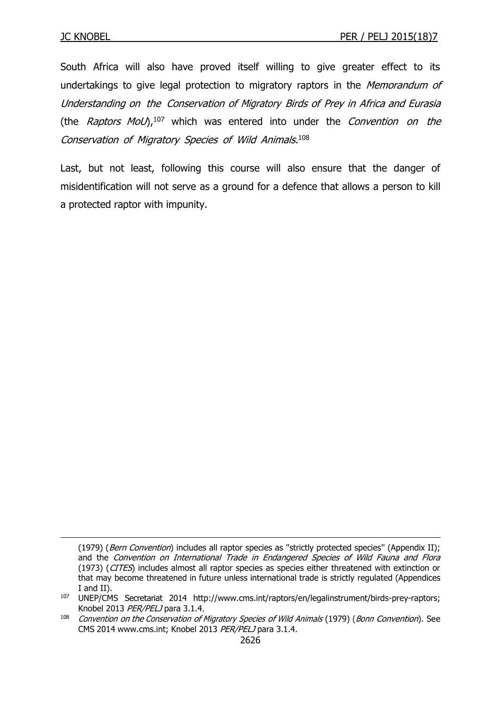South Africa will also have proved itself willing to give greater effect to its undertakings to give legal protection to migratory raptors in the Memorandum of Understanding on the Conservation of Migratory Birds of Prey in Africa and Eurasia (the Raptors MoU), $107$  which was entered into under the Convention on the Conservation of Migratory Species of Wild Animals.<sup>108</sup>

Last, but not least, following this course will also ensure that the danger of misidentification will not serve as a ground for a defence that allows a person to kill a protected raptor with impunity.

<sup>(1979) (</sup>Bern Convention) includes all raptor species as "strictly protected species" (Appendix II); and the Convention on International Trade in Endangered Species of Wild Fauna and Flora (1973) (CITES) includes almost all raptor species as species either threatened with extinction or that may become threatened in future unless international trade is strictly regulated (Appendices I and II).

<sup>107</sup> UNEP/CMS Secretariat 2014 http://www.cms.int/raptors/en/legalinstrument/birds-prey-raptors; Knobel 2013 PER/PELJ para 3.1.4.

<sup>&</sup>lt;sup>108</sup> Convention on the Conservation of Migratory Species of Wild Animals (1979) (Bonn Convention). See CMS 2014 www.cms.int; Knobel 2013 PER/PELJ para 3.1.4.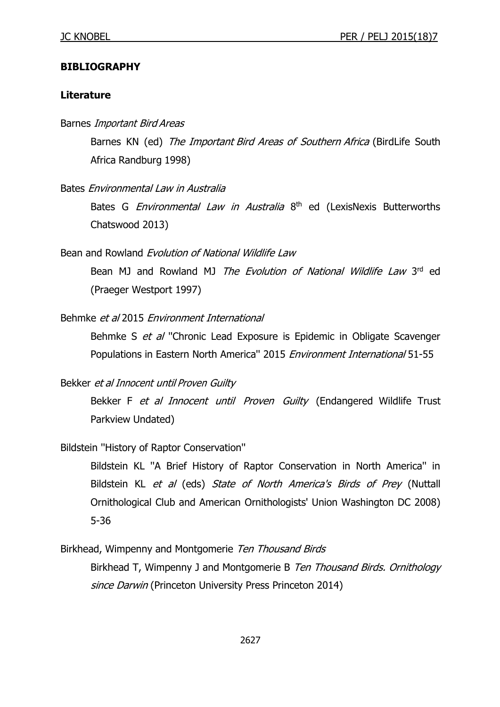## **BIBLIOGRAPHY**

#### **Literature**

Barnes Important Bird Areas

Barnes KN (ed) The Important Bird Areas of Southern Africa (BirdLife South Africa Randburg 1998)

Bates Environmental Law in Australia

Bates G Environmental Law in Australia 8<sup>th</sup> ed (LexisNexis Butterworths Chatswood 2013)

Bean and Rowland Evolution of National Wildlife Law

Bean MJ and Rowland MJ The Evolution of National Wildlife Law 3rd ed (Praeger Westport 1997)

Behmke et al 2015 Environment International

Behmke S et al "Chronic Lead Exposure is Epidemic in Obligate Scavenger Populations in Eastern North America" 2015 Environment International 51-55

Bekker et al Innocent until Proven Guilty

Bekker F et al Innocent until Proven Guilty (Endangered Wildlife Trust Parkview Undated)

Bildstein "History of Raptor Conservation"

Bildstein KL "A Brief History of Raptor Conservation in North America" in Bildstein KL et al (eds) State of North America's Birds of Prey (Nuttall Ornithological Club and American Ornithologists' Union Washington DC 2008) 5-36

Birkhead, Wimpenny and Montgomerie Ten Thousand Birds Birkhead T, Wimpenny J and Montgomerie B Ten Thousand Birds. Ornithology since Darwin (Princeton University Press Princeton 2014)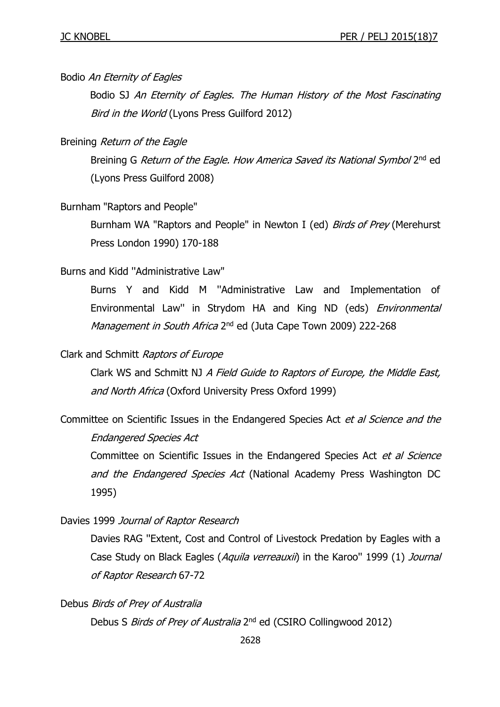#### Bodio An Eternity of Eagles

Bodio SJ An Eternity of Eagles. The Human History of the Most Fascinating Bird in the World (Lyons Press Guilford 2012)

## Breining Return of the Eagle

Breining G Return of the Eagle. How America Saved its National Symbol 2<sup>nd</sup> ed (Lyons Press Guilford 2008)

#### Burnham "Raptors and People"

Burnham WA "Raptors and People" in Newton I (ed) *Birds of Prey* (Merehurst Press London 1990) 170-188

## Burns and Kidd "Administrative Law"

Burns Y and Kidd M "Administrative Law and Implementation of Environmental Law" in Strydom HA and King ND (eds) *Environmental* Management in South Africa 2<sup>nd</sup> ed (Juta Cape Town 2009) 222-268

#### Clark and Schmitt Raptors of Europe

Clark WS and Schmitt NJ A Field Guide to Raptors of Europe, the Middle East, and North Africa (Oxford University Press Oxford 1999)

## Committee on Scientific Issues in the Endangered Species Act et al Science and the Endangered Species Act

Committee on Scientific Issues in the Endangered Species Act et al Science and the Endangered Species Act (National Academy Press Washington DC 1995)

#### Davies 1999 Journal of Raptor Research

Davies RAG "Extent, Cost and Control of Livestock Predation by Eagles with a Case Study on Black Eagles (Aquila verreauxii) in the Karoo" 1999 (1) Journal of Raptor Research 67-72

Debus Birds of Prey of Australia

Debus S Birds of Prey of Australia 2<sup>nd</sup> ed (CSIRO Collingwood 2012)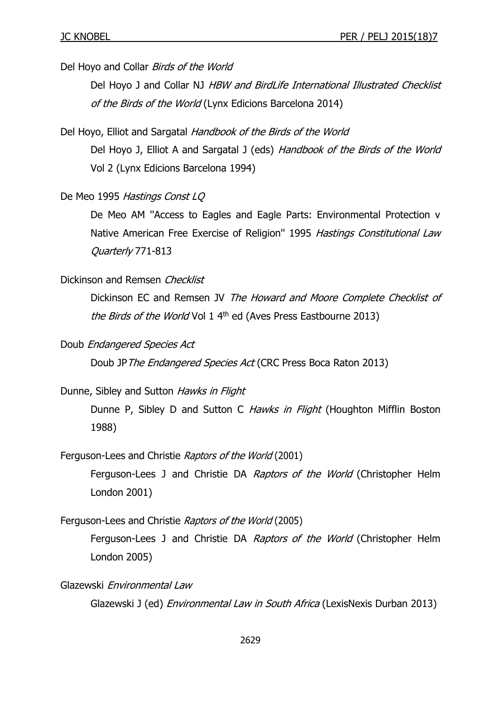Del Hoyo and Collar Birds of the World

Del Hoyo J and Collar NJ HBW and BirdLife International Illustrated Checklist of the Birds of the World (Lynx Edicions Barcelona 2014)

#### Del Hoyo, Elliot and Sargatal Handbook of the Birds of the World

Del Hoyo J, Elliot A and Sargatal J (eds) Handbook of the Birds of the World Vol 2 (Lynx Edicions Barcelona 1994)

#### De Meo 1995 Hastings Const LQ

De Meo AM "Access to Eagles and Eagle Parts: Environmental Protection v Native American Free Exercise of Religion" 1995 Hastings Constitutional Law Quarterly 771-813

#### Dickinson and Remsen Checklist

Dickinson EC and Remsen JV The Howard and Moore Complete Checklist of the Birds of the World Vol 1 4<sup>th</sup> ed (Aves Press Eastbourne 2013)

#### Doub Endangered Species Act

Doub JPThe Endangered Species Act (CRC Press Boca Raton 2013)

#### Dunne, Sibley and Sutton Hawks in Flight

Dunne P, Sibley D and Sutton C Hawks in Flight (Houghton Mifflin Boston 1988)

#### Ferguson-Lees and Christie Raptors of the World (2001)

Ferguson-Lees J and Christie DA Raptors of the World (Christopher Helm London 2001)

#### Ferguson-Lees and Christie Raptors of the World (2005)

Ferguson-Lees J and Christie DA Raptors of the World (Christopher Helm London 2005)

#### Glazewski Environmental Law

Glazewski J (ed) *Environmental Law in South Africa* (LexisNexis Durban 2013)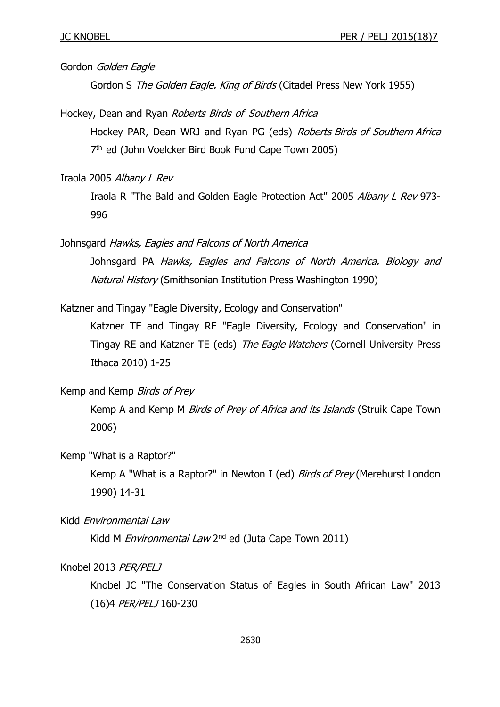#### Gordon Golden Eagle

Gordon S The Golden Eagle. King of Birds (Citadel Press New York 1955)

Hockey, Dean and Ryan Roberts Birds of Southern Africa

Hockey PAR, Dean WRJ and Ryan PG (eds) Roberts Birds of Southern Africa 7 th ed (John Voelcker Bird Book Fund Cape Town 2005)

Iraola 2005 Albany L Rev

Iraola R "The Bald and Golden Eagle Protection Act" 2005 Albany L Rev 973-996

Johnsgard Hawks, Eagles and Falcons of North America

Johnsgard PA Hawks, Eagles and Falcons of North America. Biology and Natural History (Smithsonian Institution Press Washington 1990)

Katzner and Tingay "Eagle Diversity, Ecology and Conservation"

Katzner TE and Tingay RE "Eagle Diversity, Ecology and Conservation" in Tingay RE and Katzner TE (eds) The Eagle Watchers (Cornell University Press Ithaca 2010) 1-25

## Kemp and Kemp Birds of Prey

Kemp A and Kemp M *Birds of Prey of Africa and its Islands* (Struik Cape Town 2006)

#### Kemp "What is a Raptor?"

Kemp A "What is a Raptor?" in Newton I (ed) Birds of Prey (Merehurst London 1990) 14-31

#### Kidd Environmental Law

Kidd M Environmental Law 2<sup>nd</sup> ed (Juta Cape Town 2011)

#### Knobel 2013 PER/PELJ

Knobel JC "The Conservation Status of Eagles in South African Law" 2013 (16)4 PER/PELJ 160-230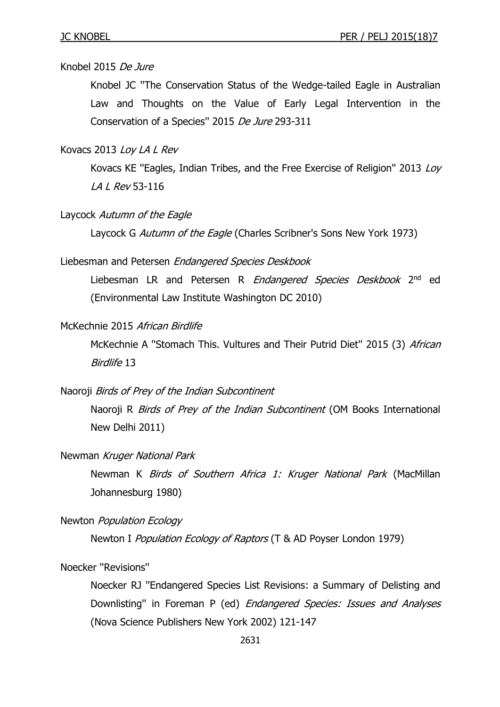#### Knobel 2015 De Jure

Knobel JC "The Conservation Status of the Wedge-tailed Eagle in Australian Law and Thoughts on the Value of Early Legal Intervention in the Conservation of a Species" 2015 De Jure 293-311

## Kovacs 2013 Loy LA L Rev

Kovacs KE "Eagles, Indian Tribes, and the Free Exercise of Religion" 2013 Loy LA L Rev 53-116

## Laycock Autumn of the Eagle

Laycock G Autumn of the Eagle (Charles Scribner's Sons New York 1973)

#### Liebesman and Petersen Endangered Species Deskbook

Liebesman LR and Petersen R *Endangered Species Deskbook* 2<sup>nd</sup> ed (Environmental Law Institute Washington DC 2010)

#### McKechnie 2015 African Birdlife

McKechnie A "Stomach This. Vultures and Their Putrid Diet" 2015 (3) African Birdlife 13

#### Naoroji Birds of Prey of the Indian Subcontinent

Naoroji R *Birds of Prey of the Indian Subcontinent* (OM Books International New Delhi 2011)

#### Newman Kruger National Park

Newman K *Birds of Southern Africa 1: Kruger National Park* (MacMillan Johannesburg 1980)

#### Newton Population Ecology

Newton I Population Ecology of Raptors (T & AD Poyser London 1979)

#### Noecker "Revisions"

Noecker RJ "Endangered Species List Revisions: a Summary of Delisting and Downlisting" in Foreman P (ed) *Endangered Species: Issues and Analyses* (Nova Science Publishers New York 2002) 121-147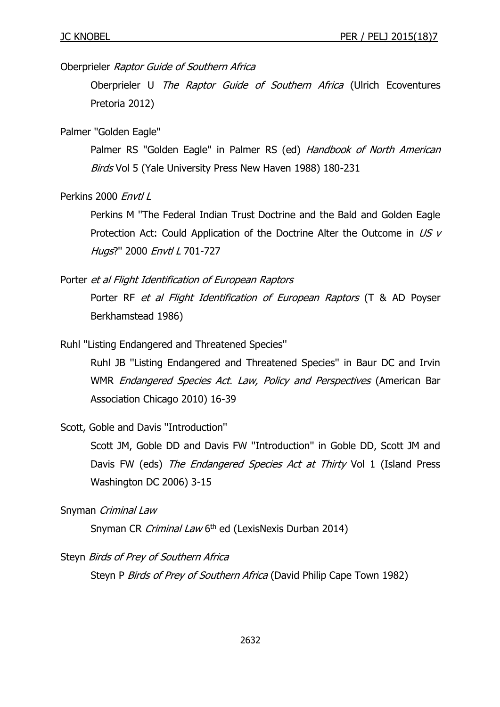Oberprieler Raptor Guide of Southern Africa

Oberprieler U The Raptor Guide of Southern Africa (Ulrich Ecoventures Pretoria 2012)

Palmer "Golden Eagle"

Palmer RS "Golden Eagle" in Palmer RS (ed) Handbook of North American Birds Vol 5 (Yale University Press New Haven 1988) 180-231

Perkins 2000 Envtl L

Perkins M "The Federal Indian Trust Doctrine and the Bald and Golden Eagle Protection Act: Could Application of the Doctrine Alter the Outcome in US v Hugs?" 2000 Envtl L 701-727

Porter et al Flight Identification of European Raptors

Porter RF et al Flight Identification of European Raptors (T & AD Poyser Berkhamstead 1986)

Ruhl "Listing Endangered and Threatened Species"

Ruhl JB "Listing Endangered and Threatened Species" in Baur DC and Irvin WMR Endangered Species Act. Law, Policy and Perspectives (American Bar Association Chicago 2010) 16-39

#### Scott, Goble and Davis "Introduction"

Scott JM, Goble DD and Davis FW "Introduction" in Goble DD, Scott JM and Davis FW (eds) The Endangered Species Act at Thirty Vol 1 (Island Press Washington DC 2006) 3-15

Snyman Criminal Law

Snyman CR Criminal Law 6<sup>th</sup> ed (LexisNexis Durban 2014)

Steyn Birds of Prey of Southern Africa

Steyn P Birds of Prey of Southern Africa (David Philip Cape Town 1982)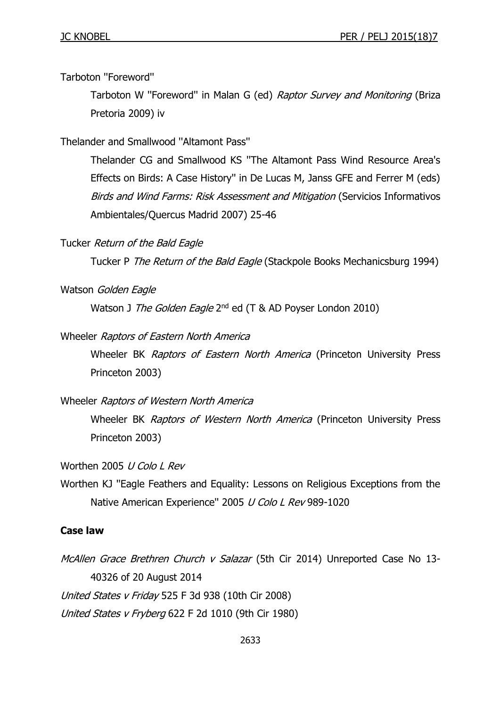Tarboton "Foreword"

Tarboton W "Foreword" in Malan G (ed) Raptor Survey and Monitoring (Briza Pretoria 2009) iv

Thelander and Smallwood "Altamont Pass"

Thelander CG and Smallwood KS "The Altamont Pass Wind Resource Area's Effects on Birds: A Case History" in De Lucas M, Janss GFE and Ferrer M (eds) Birds and Wind Farms: Risk Assessment and Mitigation (Servicios Informativos Ambientales/Quercus Madrid 2007) 25-46

## Tucker Return of the Bald Eagle

Tucker P The Return of the Bald Eagle (Stackpole Books Mechanicsburg 1994)

#### Watson Golden Eagle

Watson J *The Golden Eagle* 2<sup>nd</sup> ed (T & AD Poyser London 2010)

#### Wheeler Raptors of Eastern North America

Wheeler BK Raptors of Eastern North America (Princeton University Press Princeton 2003)

#### Wheeler Raptors of Western North America

Wheeler BK Raptors of Western North America (Princeton University Press Princeton 2003)

Worthen 2005 U Colo L Rev

Worthen KJ "Eagle Feathers and Equality: Lessons on Religious Exceptions from the Native American Experience" 2005 U Colo L Rev 989-1020

## **Case law**

McAllen Grace Brethren Church v Salazar (5th Cir 2014) Unreported Case No 13-40326 of 20 August 2014 United States v Friday 525 F 3d 938 (10th Cir 2008) United States v Fryberg 622 F 2d 1010 (9th Cir 1980)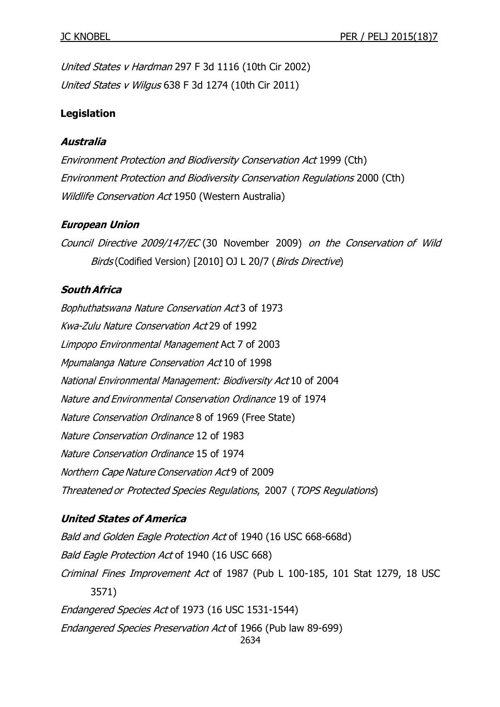United States v Hardman 297 F 3d 1116 (10th Cir 2002) United States v Wilgus 638 F 3d 1274 (10th Cir 2011)

## **Legislation**

## **Australia**

Environment Protection and Biodiversity Conservation Act 1999 (Cth) Environment Protection and Biodiversity Conservation Regulations 2000 (Cth) Wildlife Conservation Act 1950 (Western Australia)

## **European Union**

Council Directive 2009/147/EC (30 November 2009) on the Conservation of Wild Birds (Codified Version) [2010] OJ L 20/7 (Birds Directive)

## **SouthAfrica**

Bophuthatswana Nature Conservation Act 3 of 1973 Kwa-Zulu Nature Conservation Act 29 of 1992 Limpopo Environmental Management Act 7 of 2003 Mpumalanga Nature Conservation Act 10 of 1998 National Environmental Management: Biodiversity Act 10 of 2004 Nature and Environmental Conservation Ordinance 19 of 1974 Nature Conservation Ordinance 8 of 1969 (Free State) Nature Conservation Ordinance 12 of 1983 Nature Conservation Ordinance 15 of 1974 Northern Cape Nature Conservation Act 9 of 2009 Threatened or Protected Species Regulations, 2007 (TOPS Regulations)

## **United States of America**

2634 Bald and Golden Eagle Protection Act of 1940 (16 USC 668-668d) Bald Eagle Protection Act of 1940 (16 USC 668) Criminal Fines Improvement Act of 1987 (Pub L 100-185, 101 Stat 1279, 18 USC 3571) Endangered Species Act of 1973 (16 USC 1531-1544) Endangered Species Preservation Act of 1966 (Pub law 89-699)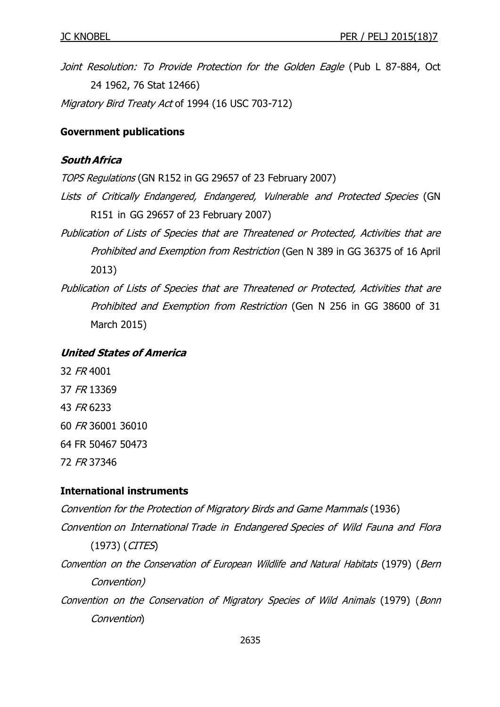Joint Resolution: To Provide Protection for the Golden Eagle (Pub L 87-884, Oct 24 1962, 76 Stat 12466)

Migratory Bird Treaty Act of 1994 (16 USC 703-712)

#### **Government publications**

#### **SouthAfrica**

TOPS Regulations (GN R152 in GG 29657 of 23 February 2007)

- Lists of Critically Endangered, Endangered, Vulnerable and Protected Species (GN R151 in GG 29657 of 23 February 2007)
- Publication of Lists of Species that are Threatened or Protected, Activities that are Prohibited and Exemption from Restriction (Gen N 389 in GG 36375 of 16 April 2013)
- Publication of Lists of Species that are Threatened or Protected, Activities that are Prohibited and Exemption from Restriction (Gen N 256 in GG 38600 of 31 March 2015)

#### **United States of America**

#### **International instruments**

Convention for the Protection of Migratory Birds and Game Mammals (1936) Convention on International Trade in Endangered Species of Wild Fauna and Flora (1973) (CITES) Convention on the Conservation of European Wildlife and Natural Habitats (1979) (Bern Convention) Convention on the Conservation of Migratory Species of Wild Animals (1979) (Bonn Convention)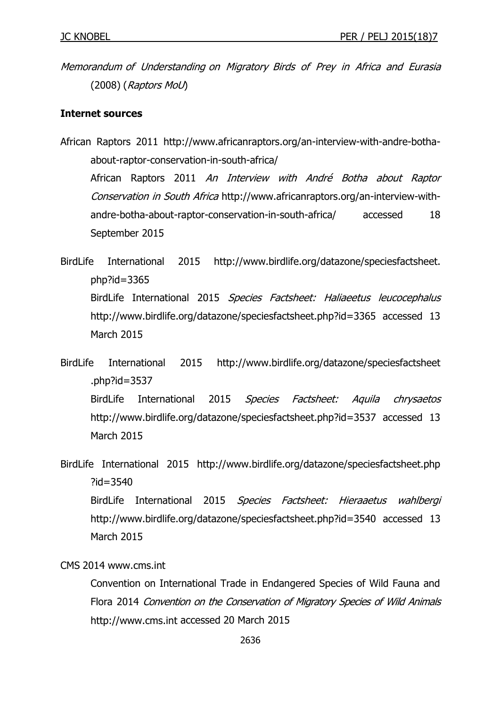Memorandum of Understanding on Migratory Birds of Prey in Africa and Eurasia (2008) (Raptors MoU)

#### **Internet sources**

African Raptors 2011 http://www.africanraptors.org/an-interview-with-andre-bothaabout-raptor-conservation-in-south-africa/ African Raptors 2011 An Interview with André Botha about Raptor Conservation in South Africa http://www.africanraptors.org/an-interview-withandre-botha-about-raptor-conservation-in-south-africa/ accessed 18 September 2015

BirdLife International 2015 http://www.birdlife.org/datazone/speciesfactsheet. php?id=3365 BirdLife International 2015 Species Factsheet: Haliaeetus leucocephalus http://www.birdlife.org/datazone/speciesfactsheet.php?id=3365 accessed 13 March 2015

BirdLife International 2015 http://www.birdlife.org/datazone/speciesfactsheet .php?id=3537 BirdLife International 2015 Species Factsheet: Aquila chrysaetos http://www.birdlife.org/datazone/speciesfactsheet.php?id=3537 accessed 13 March 2015

BirdLife International 2015 http://www.birdlife.org/datazone/speciesfactsheet.php ?id=3540 BirdLife International 2015 Species Factsheet: Hieraaetus wahlbergi http://www.birdlife.org/datazone/speciesfactsheet.php?id=3540 accessed 13 March 2015

#### CMS 2014 www.cms.int

Convention on International Trade in Endangered Species of Wild Fauna and Flora 2014 Convention on the Conservation of Migratory Species of Wild Animals http://www.cms.int accessed 20 March 2015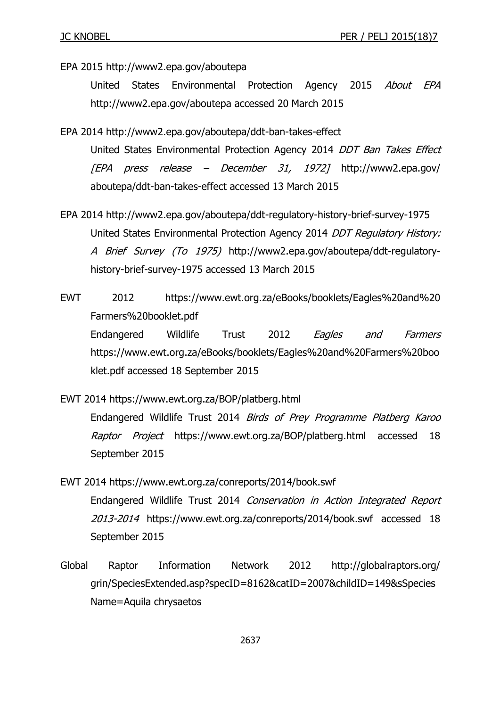EPA 2015 http://www2.epa.gov/aboutepa

United States Environmental Protection Agency 2015 About EPA http://www2.epa.gov/aboutepa accessed 20 March 2015

EPA 2014 http://www2.epa.gov/aboutepa/ddt-ban-takes-effect

United States Environmental Protection Agency 2014 DDT Ban Takes Effect [EPA press release – December 31, 1972] http://www2.epa.gov/ aboutepa/ddt-ban-takes-effect accessed 13 March 2015

EPA 2014 http://www2.epa.gov/aboutepa/ddt-regulatory-history-brief-survey-1975 United States Environmental Protection Agency 2014 DDT Regulatory History: A Brief Survey (To 1975) http://www2.epa.gov/aboutepa/ddt-regulatoryhistory-brief-survey-1975 accessed 13 March 2015

EWT 2012 https://www.ewt.org.za/eBooks/booklets/Eagles%20and%20 Farmers%20booklet.pdf Endangered Wildlife Trust 2012 Eagles and Farmers https://www.ewt.org.za/eBooks/booklets/Eagles%20and%20Farmers%20boo klet.pdf accessed 18 September 2015

EWT 2014 https://www.ewt.org.za/BOP/platberg.html

Endangered Wildlife Trust 2014 Birds of Prey Programme Platberg Karoo Raptor Project https://www.ewt.org.za/BOP/platberg.html accessed 18 September 2015

- EWT 2014 https://www.ewt.org.za/conreports/2014/book.swf Endangered Wildlife Trust 2014 Conservation in Action Integrated Report 2013-2014 https://www.ewt.org.za/conreports/2014/book.swf accessed 18 September 2015
- Global Raptor Information Network 2012 http://globalraptors.org/ grin/SpeciesExtended.asp?specID=8162&catID=2007&childID=149&sSpecies Name=Aquila chrysaetos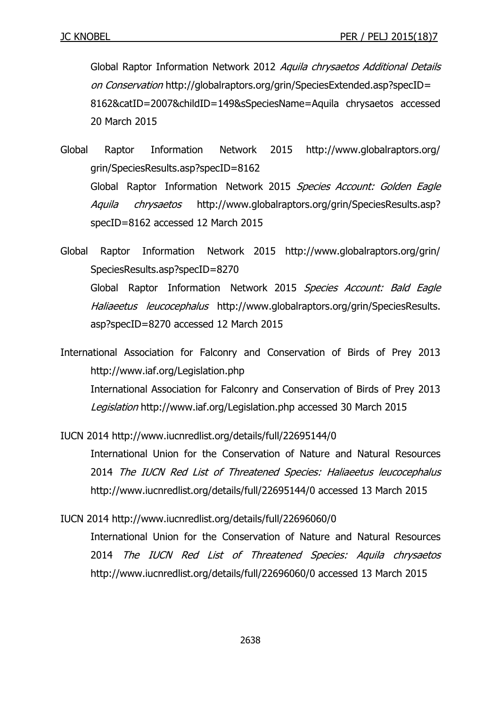Global Raptor Information Network 2012 Aquila chrysaetos Additional Details on Conservation http://globalraptors.org/grin/SpeciesExtended.asp?specID= 8162&catID=2007&childID=149&sSpeciesName=Aquila chrysaetos accessed 20 March 2015

Global Raptor Information Network 2015 http://www.globalraptors.org/ grin/SpeciesResults.asp?specID=8162 Global Raptor Information Network 2015 Species Account: Golden Eagle Aquila chrysaetos http://www.globalraptors.org/grin/SpeciesResults.asp? specID=8162 accessed 12 March 2015

Global Raptor Information Network 2015 http://www.globalraptors.org/grin/ SpeciesResults.asp?specID=8270 Global Raptor Information Network 2015 Species Account: Bald Eagle Haliaeetus leucocephalus http://www.globalraptors.org/grin/SpeciesResults. asp?specID=8270 accessed 12 March 2015

International Association for Falconry and Conservation of Birds of Prey 2013 http://www.iaf.org/Legislation.php International Association for Falconry and Conservation of Birds of Prey 2013 Legislation http://www.iaf.org/Legislation.php accessed 30 March 2015

IUCN 2014 http://www.iucnredlist.org/details/full/22695144/0 International Union for the Conservation of Nature and Natural Resources 2014 The IUCN Red List of Threatened Species: Haliaeetus leucocephalus http://www.iucnredlist.org/details/full/22695144/0 accessed 13 March 2015

IUCN 2014 http://www.iucnredlist.org/details/full/22696060/0 International Union for the Conservation of Nature and Natural Resources 2014 The IUCN Red List of Threatened Species: Aquila chrysaetos http://www.iucnredlist.org/details/full/22696060/0 accessed 13 March 2015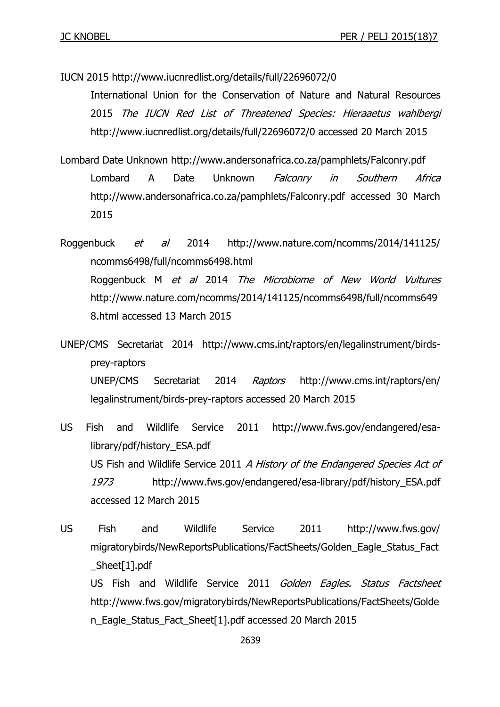IUCN 2015 http://www.iucnredlist.org/details/full/22696072/0

International Union for the Conservation of Nature and Natural Resources 2015 The IUCN Red List of Threatened Species: Hieraaetus wahlbergi http://www.iucnredlist.org/details/full/22696072/0 accessed 20 March 2015

Lombard Date Unknown http://www.andersonafrica.co.za/pamphlets/Falconry.pdf Lombard A Date Unknown Falconry in Southern Africa http://www.andersonafrica.co.za/pamphlets/Falconry.pdf accessed 30 March 2015

Roggenbuck et al 2014 http://www.nature.com/ncomms/2014/141125/ ncomms6498/full/ncomms6498.html Roggenbuck M et al 2014 The Microbiome of New World Vultures http://www.nature.com/ncomms/2014/141125/ncomms6498/full/ncomms649 8.html accessed 13 March 2015

UNEP/CMS Secretariat 2014 http://www.cms.int/raptors/en/legalinstrument/birdsprey-raptors UNEP/CMS Secretariat 2014 Raptors http://www.cms.int/raptors/en/ legalinstrument/birds-prey-raptors accessed 20 March 2015

US Fish and Wildlife Service 2011 http://www.fws.gov/endangered/esalibrary/pdf/history\_ESA.pdf US Fish and Wildlife Service 2011 A History of the Endangered Species Act of 1973 http://www.fws.gov/endangered/esa-library/pdf/history\_ESA.pdf accessed 12 March 2015

US Fish and Wildlife Service 2011 http://www.fws.gov/ migratorybirds/NewReportsPublications/FactSheets/Golden\_Eagle\_Status\_Fact \_Sheet[1].pdf US Fish and Wildlife Service 2011 Golden Eagles. Status Factsheet http://www.fws.gov/migratorybirds/NewReportsPublications/FactSheets/Golde n\_Eagle\_Status\_Fact\_Sheet[1].pdf accessed 20 March 2015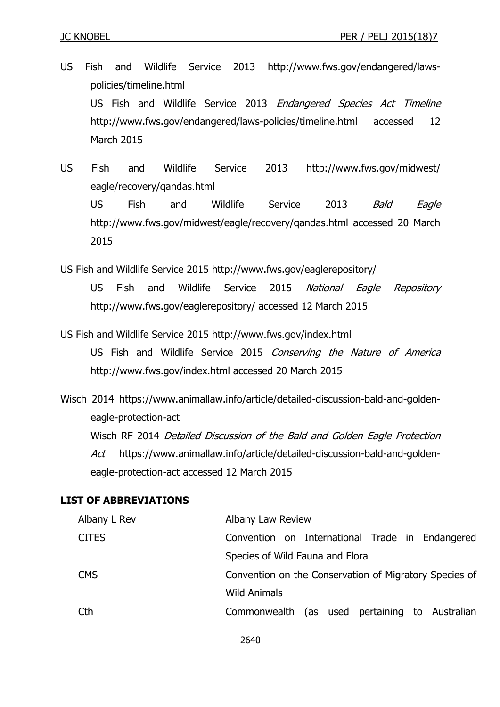- US Fish and Wildlife Service 2013 http://www.fws.gov/endangered/lawspolicies/timeline.html US Fish and Wildlife Service 2013 Endangered Species Act Timeline http://www.fws.gov/endangered/laws-policies/timeline.html accessed 12 March 2015
- US Fish and Wildlife Service 2013 http://www.fws.gov/midwest/ eagle/recovery/qandas.html US Fish and Wildlife Service 2013 *Bald Eagle* http://www.fws.gov/midwest/eagle/recovery/qandas.html accessed 20 March 2015
- US Fish and Wildlife Service 2015 http://www.fws.gov/eaglerepository/ US Fish and Wildlife Service 2015 National Eagle Repository http://www.fws.gov/eaglerepository/ accessed 12 March 2015
- US Fish and Wildlife Service 2015 http://www.fws.gov/index.html US Fish and Wildlife Service 2015 Conserving the Nature of America http://www.fws.gov/index.html accessed 20 March 2015
- Wisch 2014 https://www.animallaw.info/article/detailed-discussion-bald-and-goldeneagle-protection-act Wisch RF 2014 Detailed Discussion of the Bald and Golden Eagle Protection Act https://www.animallaw.info/article/detailed-discussion-bald-and-goldeneagle-protection-act accessed 12 March 2015

#### **LIST OF ABBREVIATIONS**

| Albany L Rev | Albany Law Review                                      |
|--------------|--------------------------------------------------------|
| <b>CITES</b> | Convention on International Trade in Endangered        |
|              | Species of Wild Fauna and Flora                        |
| <b>CMS</b>   | Convention on the Conservation of Migratory Species of |
|              | <b>Wild Animals</b>                                    |
| Cth          | Commonwealth (as used pertaining to Australian         |